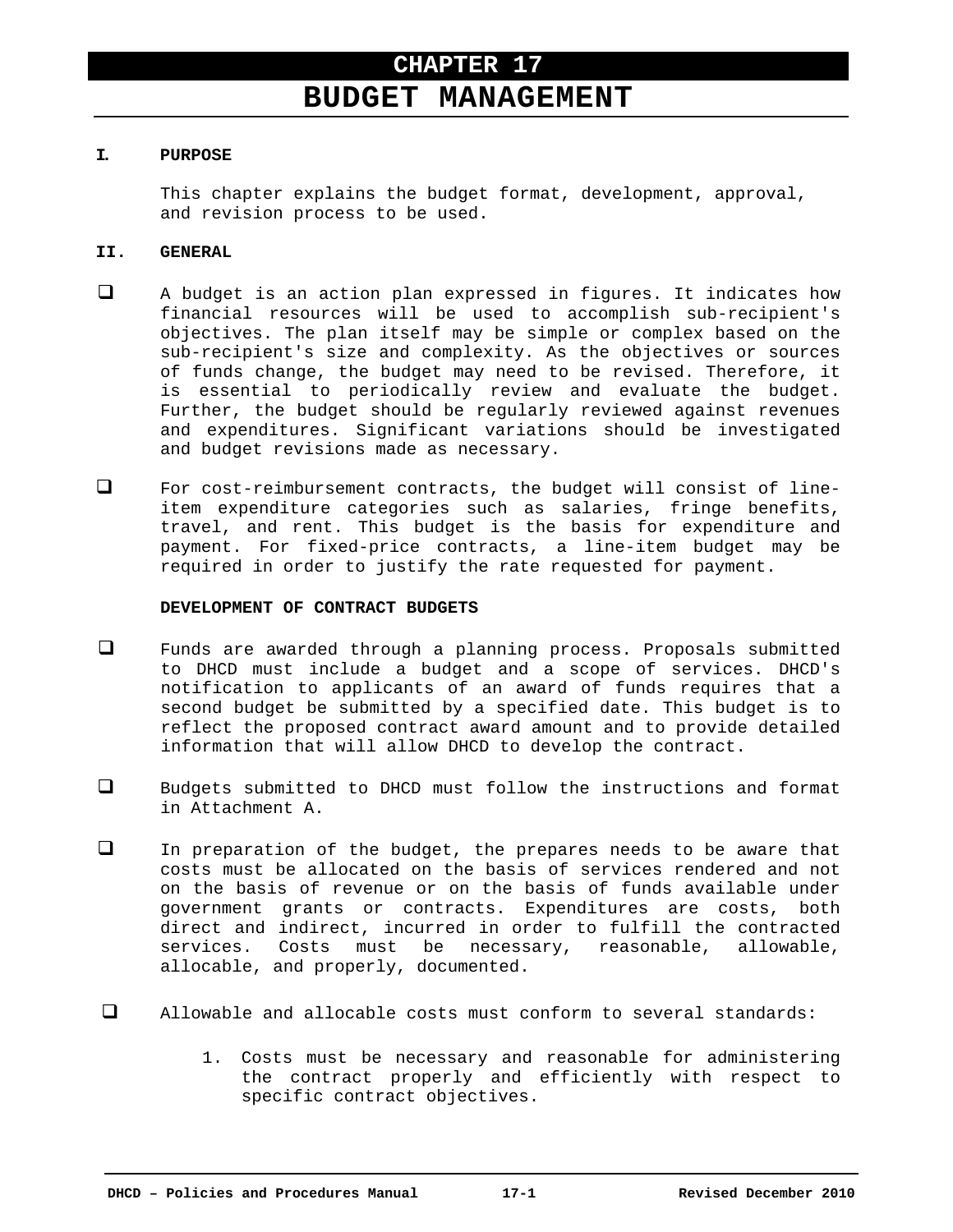# **BUDGET MANAGEMENT**

## **I. PURPOSE**

This chapter explains the budget format, development, approval, and revision process to be used.

## **II. GENERAL**

- A budget is an action plan expressed in figures. It indicates how financial resources will be used to accomplish sub-recipient's objectives. The plan itself may be simple or complex based on the sub-recipient's size and complexity. As the objectives or sources of funds change, the budget may need to be revised. Therefore, it is essential to periodically review and evaluate the budget. Further, the budget should be regularly reviewed against revenues and expenditures. Significant variations should be investigated and budget revisions made as necessary.
- For cost-reimbursement contracts, the budget will consist of lineitem expenditure categories such as salaries, fringe benefits, travel, and rent. This budget is the basis for expenditure and payment. For fixed-price contracts, a line-item budget may be required in order to justify the rate requested for payment.

#### **DEVELOPMENT OF CONTRACT BUDGETS**

- Funds are awarded through a planning process. Proposals submitted to DHCD must include a budget and a scope of services. DHCD's notification to applicants of an award of funds requires that a second budget be submitted by a specified date. This budget is to reflect the proposed contract award amount and to provide detailed information that will allow DHCD to develop the contract.
- $\Box$  Budgets submitted to DHCD must follow the instructions and format in Attachment A.
- In preparation of the budget, the prepares needs to be aware that costs must be allocated on the basis of services rendered and not on the basis of revenue or on the basis of funds available under government grants or contracts. Expenditures are costs, both direct and indirect, incurred in order to fulfill the contracted services. Costs must be necessary, reasonable, allowable, allocable, and properly, documented.
- $\Box$  Allowable and allocable costs must conform to several standards:
	- 1. Costs must be necessary and reasonable for administering the contract properly and efficiently with respect to specific contract objectives.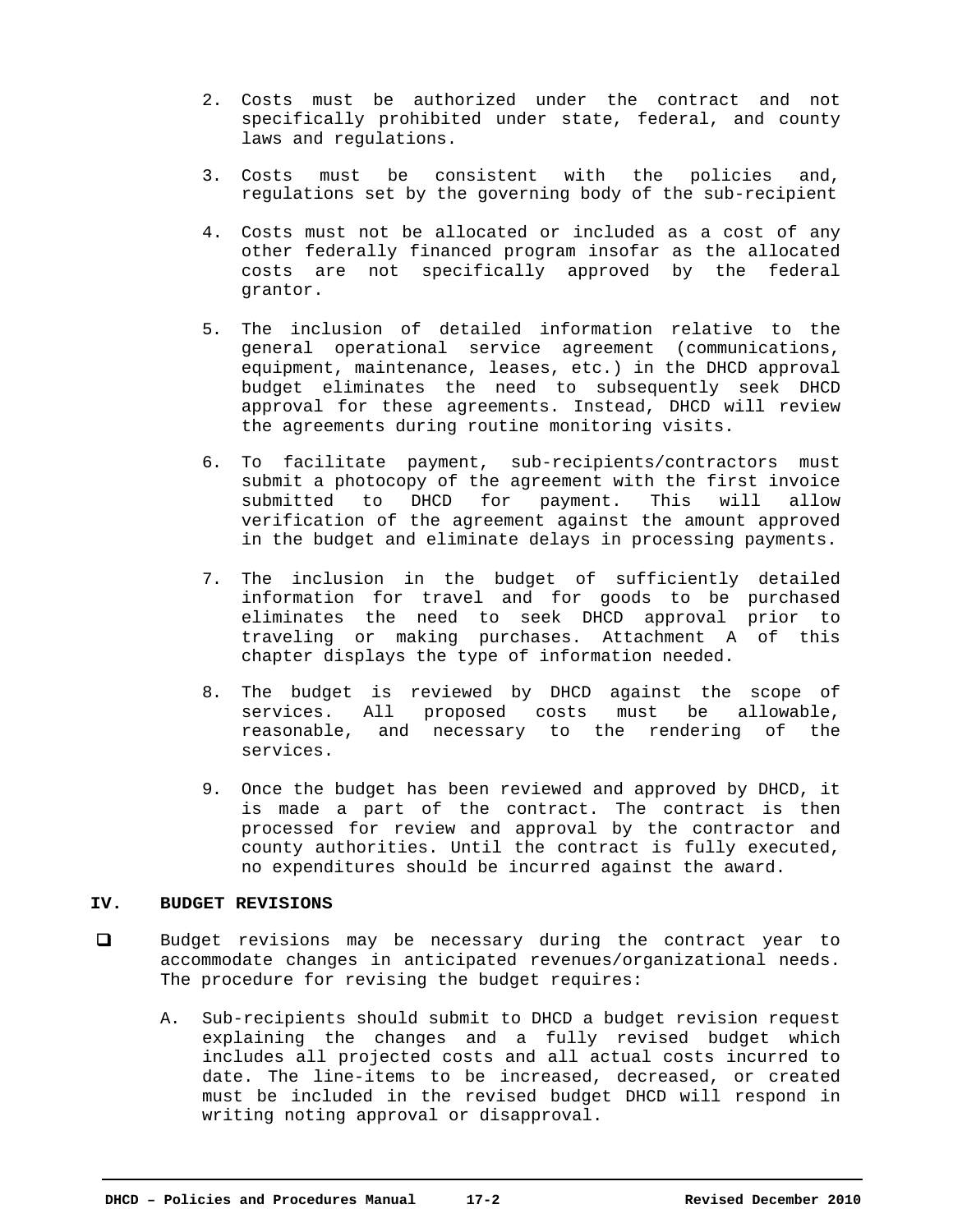- 2. Costs must be authorized under the contract and not specifically prohibited under state, federal, and county laws and regulations.
- 3. Costs must be consistent with the policies and, regulations set by the governing body of the sub-recipient
- 4. Costs must not be allocated or included as a cost of any other federally financed program insofar as the allocated costs are not specifically approved by the federal grantor.
- 5. The inclusion of detailed information relative to the general operational service agreement (communications, equipment, maintenance, leases, etc.) in the DHCD approval budget eliminates the need to subsequently seek DHCD approval for these agreements. Instead, DHCD will review the agreements during routine monitoring visits.
- 6. To facilitate payment, sub-recipients/contractors must submit a photocopy of the agreement with the first invoice submitted to DHCD for payment. This will allow verification of the agreement against the amount approved in the budget and eliminate delays in processing payments.
- 7. The inclusion in the budget of sufficiently detailed information for travel and for goods to be purchased eliminates the need to seek DHCD approval prior to traveling or making purchases. Attachment A of this chapter displays the type of information needed.
- 8. The budget is reviewed by DHCD against the scope of services. All proposed costs must be allowable, reasonable, and necessary to the rendering of the services.
- 9. Once the budget has been reviewed and approved by DHCD, it is made a part of the contract. The contract is then processed for review and approval by the contractor and county authorities. Until the contract is fully executed, no expenditures should be incurred against the award.

#### **IV. BUDGET REVISIONS**

- Budget revisions may be necessary during the contract year to accommodate changes in anticipated revenues/organizational needs. The procedure for revising the budget requires:
	- A. Sub-recipients should submit to DHCD a budget revision request explaining the changes and a fully revised budget which includes all projected costs and all actual costs incurred to date. The line-items to be increased, decreased, or created must be included in the revised budget DHCD will respond in writing noting approval or disapproval.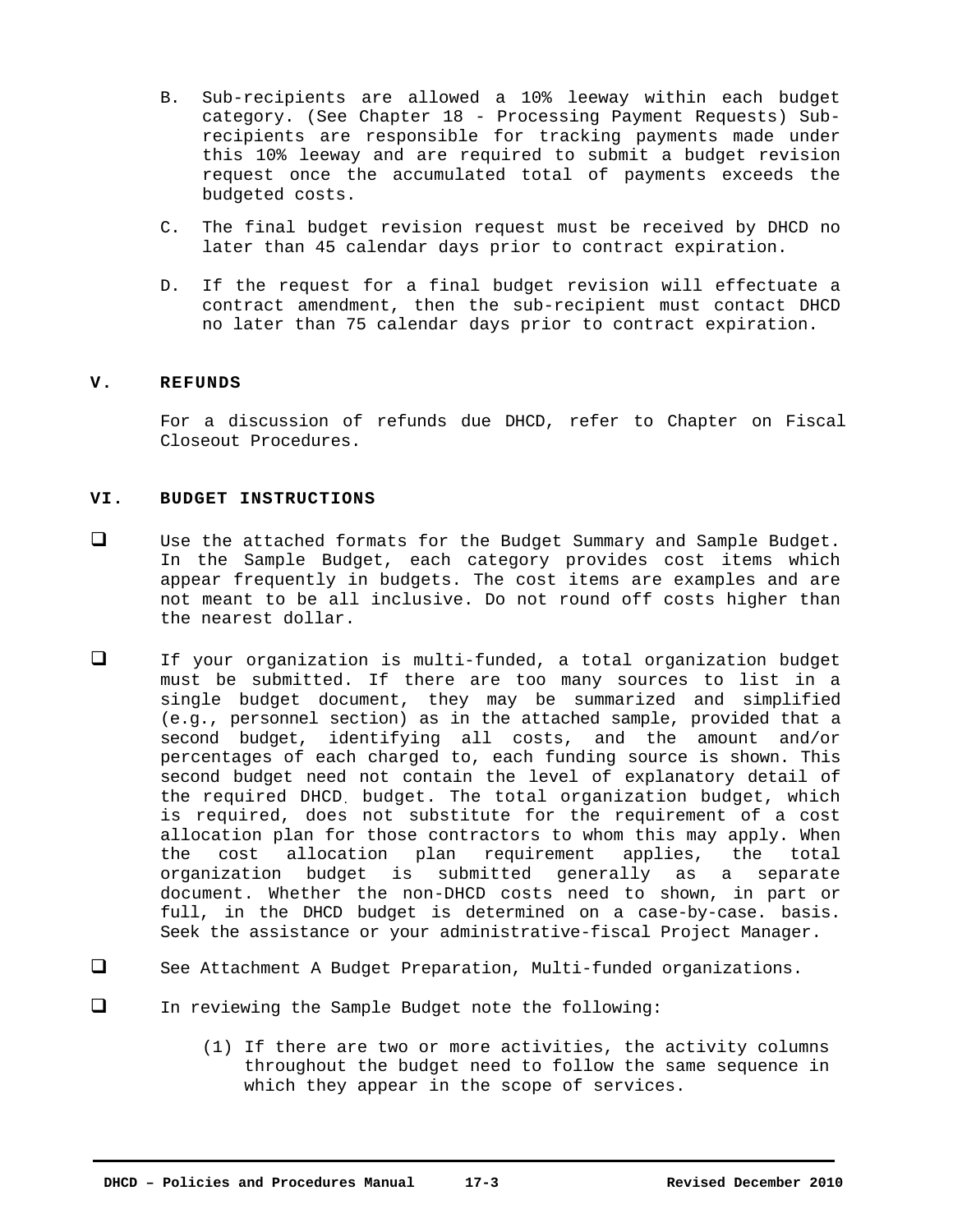- B. Sub-recipients are allowed a 10% leeway within each budget category. (See Chapter 18 - Processing Payment Requests) Subrecipients are responsible for tracking payments made under this 10% leeway and are required to submit a budget revision request once the accumulated total of payments exceeds the budgeted costs.
- C. The final budget revision request must be received by DHCD no later than 45 calendar days prior to contract expiration.
- D. If the request for a final budget revision will effectuate a contract amendment, then the sub-recipient must contact DHCD no later than 75 calendar days prior to contract expiration.

## **V. REFUNDS**

For a discussion of refunds due DHCD, refer to Chapter on Fiscal Closeout Procedures.

## **VI. BUDGET INSTRUCTIONS**

- $\Box$  Use the attached formats for the Budget Summary and Sample Budget. In the Sample Budget, each category provides cost items which appear frequently in budgets. The cost items are examples and are not meant to be all inclusive. Do not round off costs higher than the nearest dollar.
- If your organization is multi-funded, a total organization budget must be submitted. If there are too many sources to list in a single budget document, they may be summarized and simplified (e.g., personnel section) as in the attached sample, provided that a second budget, identifying all costs, and the amount and/or percentages of each charged to, each funding source is shown. This second budget need not contain the level of explanatory detail of the required DHCD. budget. The total organization budget, which is required, does not substitute for the requirement of a cost allocation plan for those contractors to whom this may apply. When the cost allocation plan requirement applies, the total organization budget is submitted generally as a separate document. Whether the non-DHCD costs need to shown, in part or full, in the DHCD budget is determined on a case-by-case. basis. Seek the assistance or your administrative-fiscal Project Manager.
- See Attachment A Budget Preparation, Multi-funded organizations.
- In reviewing the Sample Budget note the following:
	- (1) If there are two or more activities, the activity columns throughout the budget need to follow the same sequence in which they appear in the scope of services.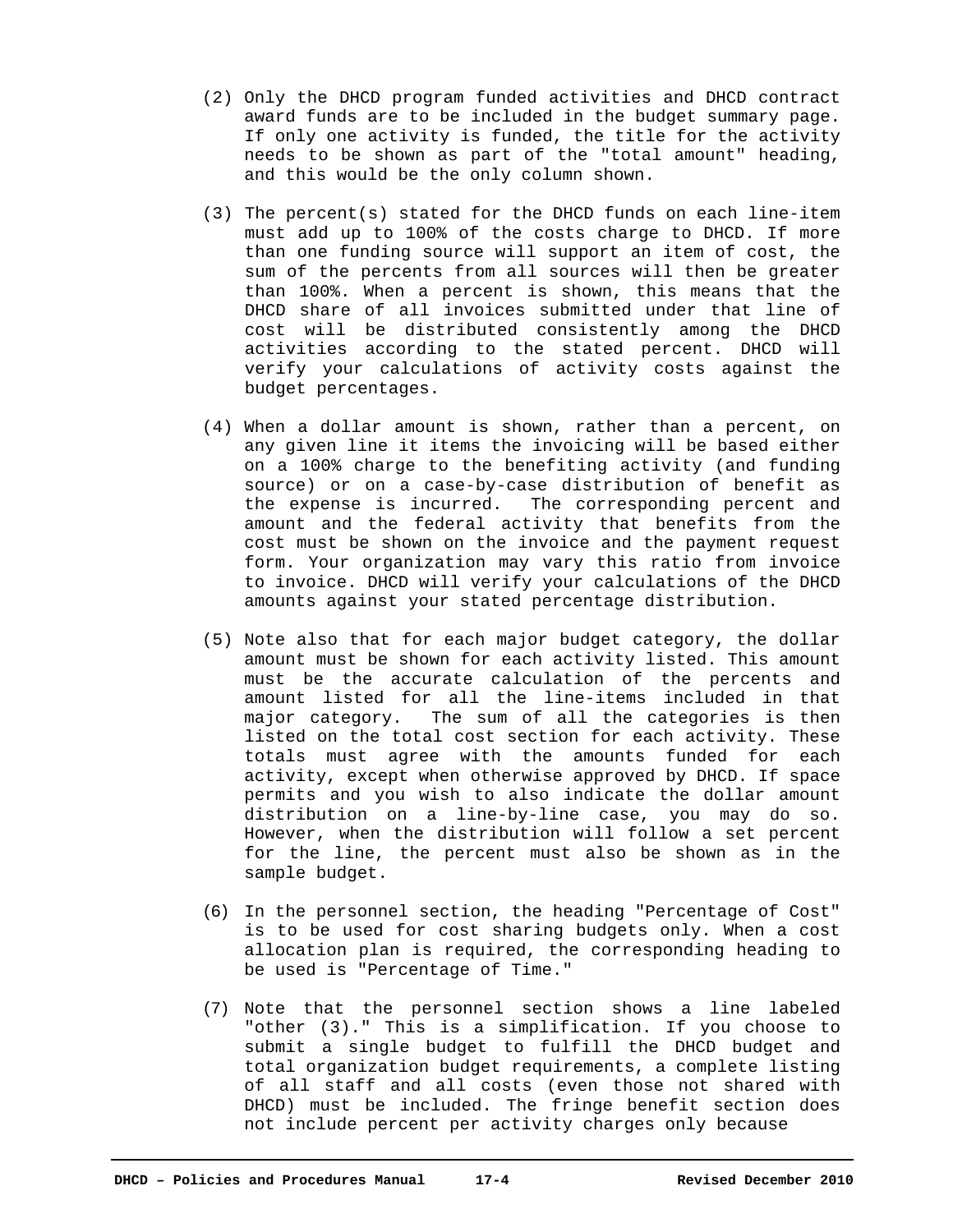- (2) Only the DHCD program funded activities and DHCD contract award funds are to be included in the budget summary page. If only one activity is funded, the title for the activity needs to be shown as part of the "total amount" heading, and this would be the only column shown.
- (3) The percent(s) stated for the DHCD funds on each line-item must add up to 100% of the costs charge to DHCD. If more than one funding source will support an item of cost, the sum of the percents from all sources will then be greater than 100%. When a percent is shown, this means that the DHCD share of all invoices submitted under that line of cost will be distributed consistently among the DHCD activities according to the stated percent. DHCD will verify your calculations of activity costs against the budget percentages.
- (4) When a dollar amount is shown, rather than a percent, on any given line it items the invoicing will be based either on a 100% charge to the benefiting activity (and funding source) or on a case-by-case distribution of benefit as the expense is incurred. The corresponding percent and amount and the federal activity that benefits from the cost must be shown on the invoice and the payment request form. Your organization may vary this ratio from invoice to invoice. DHCD will verify your calculations of the DHCD amounts against your stated percentage distribution.
- (5) Note also that for each major budget category, the dollar amount must be shown for each activity listed. This amount must be the accurate calculation of the percents and amount listed for all the line-items included in that major category. The sum of all the categories is then listed on the total cost section for each activity. These totals must agree with the amounts funded for each activity, except when otherwise approved by DHCD. If space permits and you wish to also indicate the dollar amount distribution on a line-by-line case, you may do so. However, when the distribution will follow a set percent for the line, the percent must also be shown as in the sample budget.
- (6) In the personnel section, the heading "Percentage of Cost" is to be used for cost sharing budgets only. When a cost allocation plan is required, the corresponding heading to be used is "Percentage of Time."
- (7) Note that the personnel section shows a line labeled "other (3)." This is a simplification. If you choose to submit a single budget to fulfill the DHCD budget and total organization budget requirements, a complete listing of all staff and all costs (even those not shared with DHCD) must be included. The fringe benefit section does not include percent per activity charges only because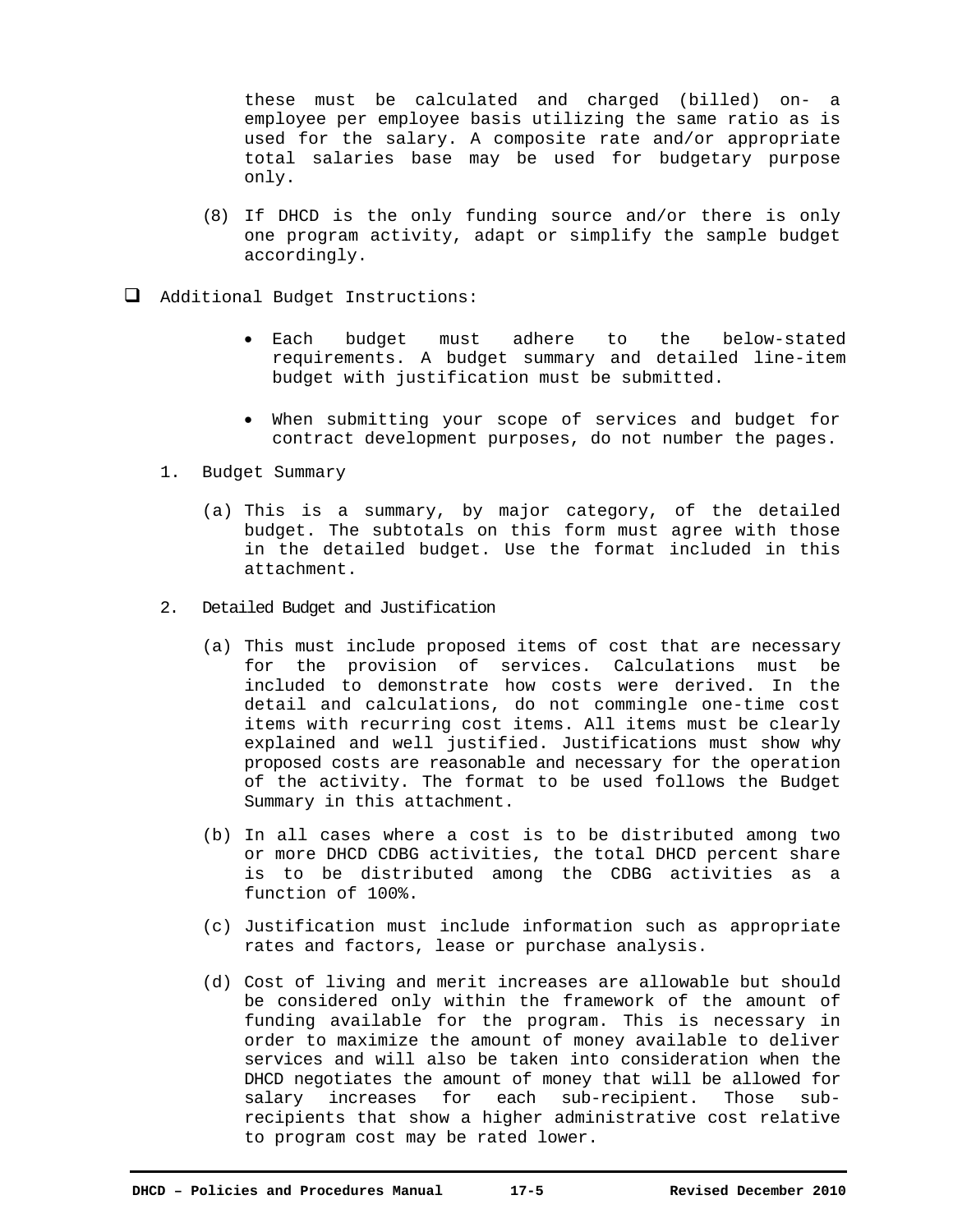these must be calculated and charged (billed) on- a employee per employee basis utilizing the same ratio as is used for the salary. A composite rate and/or appropriate total salaries base may be used for budgetary purpose only.

- (8) If DHCD is the only funding source and/or there is only one program activity, adapt or simplify the sample budget accordingly.
- Additional Budget Instructions:
	- Each budget must adhere to the below-stated requirements. A budget summary and detailed line-item budget with justification must be submitted.
	- When submitting your scope of services and budget for contract development purposes, do not number the pages.
	- 1. Budget Summary
		- (a) This is a summary, by major category, of the detailed budget. The subtotals on this form must agree with those in the detailed budget. Use the format included in this attachment.
	- 2. Detailed Budget and Justification
		- (a) This must include proposed items of cost that are necessary for the provision of services. Calculations must be included to demonstrate how costs were derived. In the detail and calculations, do not commingle one-time cost items with recurring cost items. All items must be clearly explained and well justified. Justifications must show why proposed costs are reasonable and necessary for the operation of the activity. The format to be used follows the Budget Summary in this attachment.
		- (b) In all cases where a cost is to be distributed among two or more DHCD CDBG activities, the total DHCD percent share is to be distributed among the CDBG activities as a function of 100%.
		- (c) Justification must include information such as appropriate rates and factors, lease or purchase analysis.
		- (d) Cost of living and merit increases are allowable but should be considered only within the framework of the amount of funding available for the program. This is necessary in order to maximize the amount of money available to deliver services and will also be taken into consideration when the DHCD negotiates the amount of money that will be allowed for salary increases for each sub-recipient. Those subrecipients that show a higher administrative cost relative to program cost may be rated lower.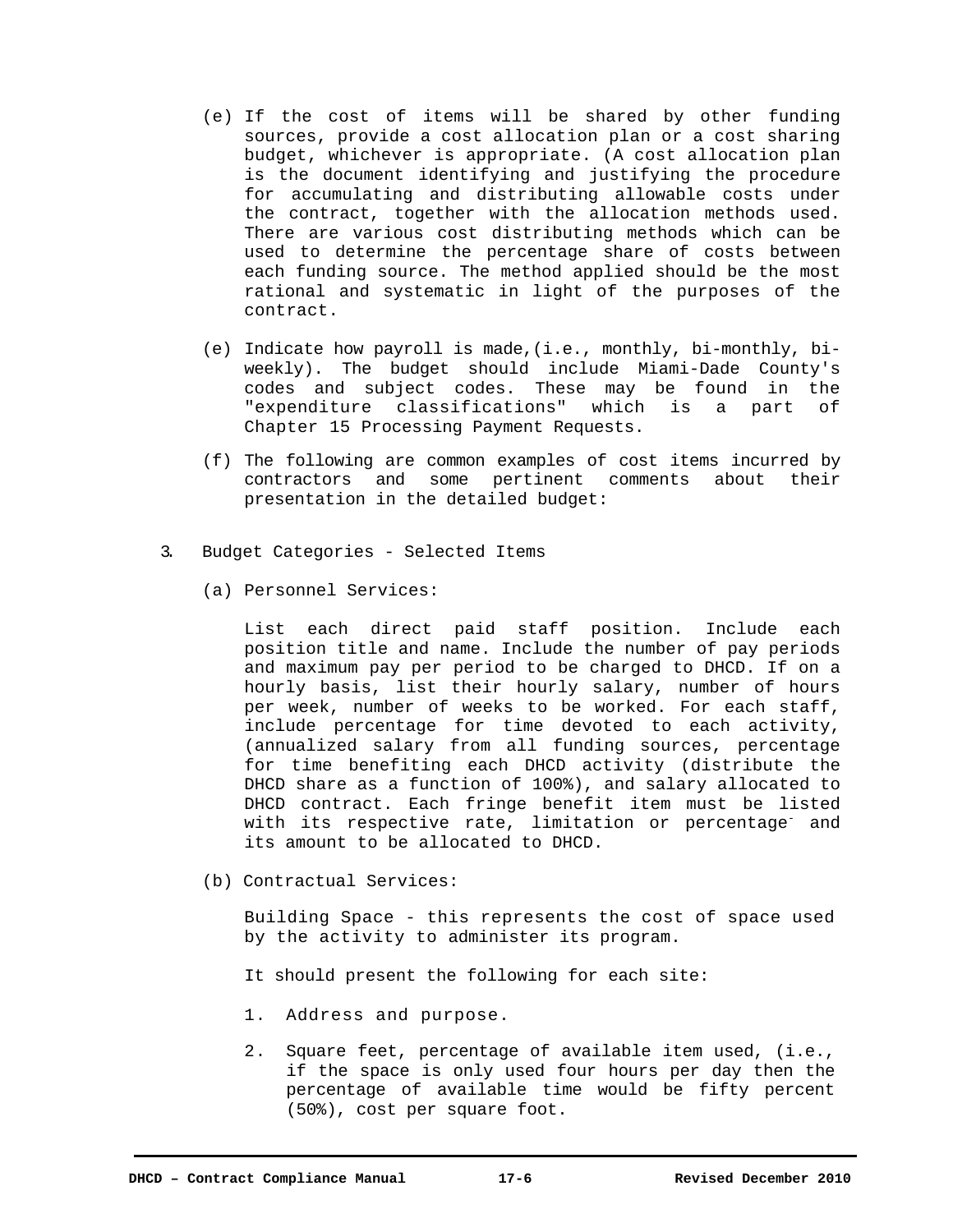- (e) If the cost of items will be shared by other funding sources, provide a cost allocation plan or a cost sharing budget, whichever is appropriate. (A cost allocation plan is the document identifying and justifying the procedure for accumulating and distributing allowable costs under the contract, together with the allocation methods used. There are various cost distributing methods which can be used to determine the percentage share of costs between each funding source. The method applied should be the most rational and systematic in light of the purposes of the contract.
- (e) Indicate how payroll is made,(i.e., monthly, bi-monthly, biweekly). The budget should include Miami-Dade County's codes and subject codes. These may be found in the "expenditure classifications" which is a part of Chapter 15 Processing Payment Requests.
- (f) The following are common examples of cost items incurred by contractors and some pertinent comments about their presentation in the detailed budget:
- 3. Budget Categories Selected Items
	- (a) Personnel Services:

List each direct paid staff position. Include each position title and name. Include the number of pay periods and maximum pay per period to be charged to DHCD. If on a hourly basis, list their hourly salary, number of hours per week, number of weeks to be worked. For each staff, include percentage for time devoted to each activity, (annualized salary from all funding sources, percentage for time benefiting each DHCD activity (distribute the DHCD share as a function of 100%), and salary allocated to DHCD contract. Each fringe benefit item must be listed with its respective rate, limitation or percentage<sup>-</sup> and its amount to be allocated to DHCD.

(b) Contractual Services:

 Building Space - this represents the cost of space used by the activity to administer its program.

- It should present the following for each site:
- 1. Address and purpose.
- 2. Square feet, percentage of available item used, (i.e., if the space is only used four hours per day then the percentage of available time would be fifty percent (50%), cost per square foot.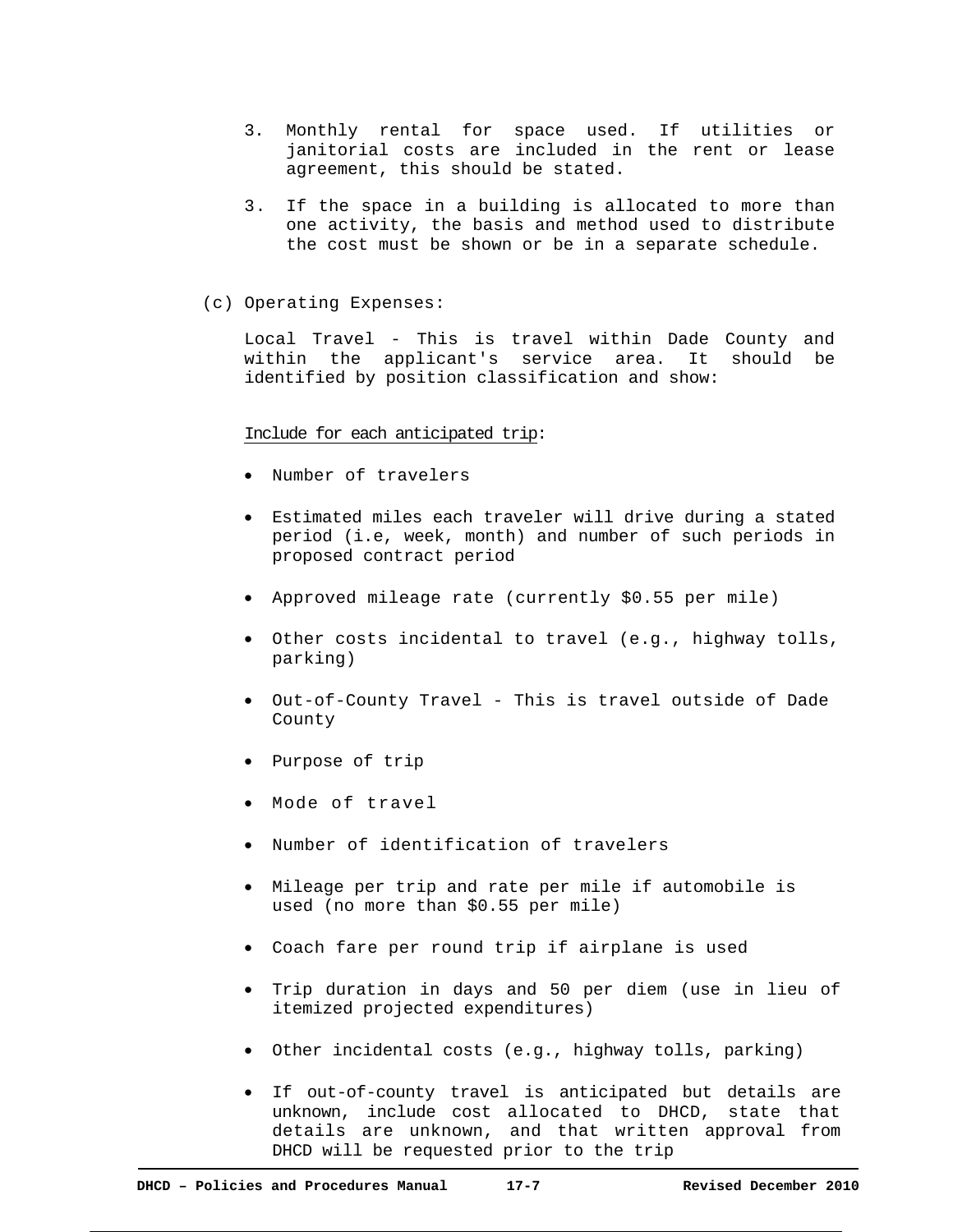- 3. Monthly rental for space used. If utilities or janitorial costs are included in the rent or lease agreement, this should be stated.
- 3. If the space in a building is allocated to more than one activity, the basis and method used to distribute the cost must be shown or be in a separate schedule.
- (c) Operating Expenses:

Local Travel - This is travel within Dade County and within the applicant's service area. It should be identified by position classification and show:

Include for each anticipated trip:

- Number of travelers
- Estimated miles each traveler will drive during a stated period (i.e, week, month) and number of such periods in proposed contract period
- Approved mileage rate (currently \$0.55 per mile)
- Other costs incidental to travel (e.g., highway tolls, parking)
- Out-of-County Travel This is travel outside of Dade County
- Purpose of trip
- Mode of travel
- Number of identification of travelers
- Mileage per trip and rate per mile if automobile is used (no more than \$0.55 per mile)
- Coach fare per round trip if airplane is used
- Trip duration in days and 50 per diem (use in lieu of itemized projected expenditures)
- Other incidental costs (e.g., highway tolls, parking)
- If out-of-county travel is anticipated but details are unknown, include cost allocated to DHCD, state that details are unknown, and that written approval from DHCD will be requested prior to the trip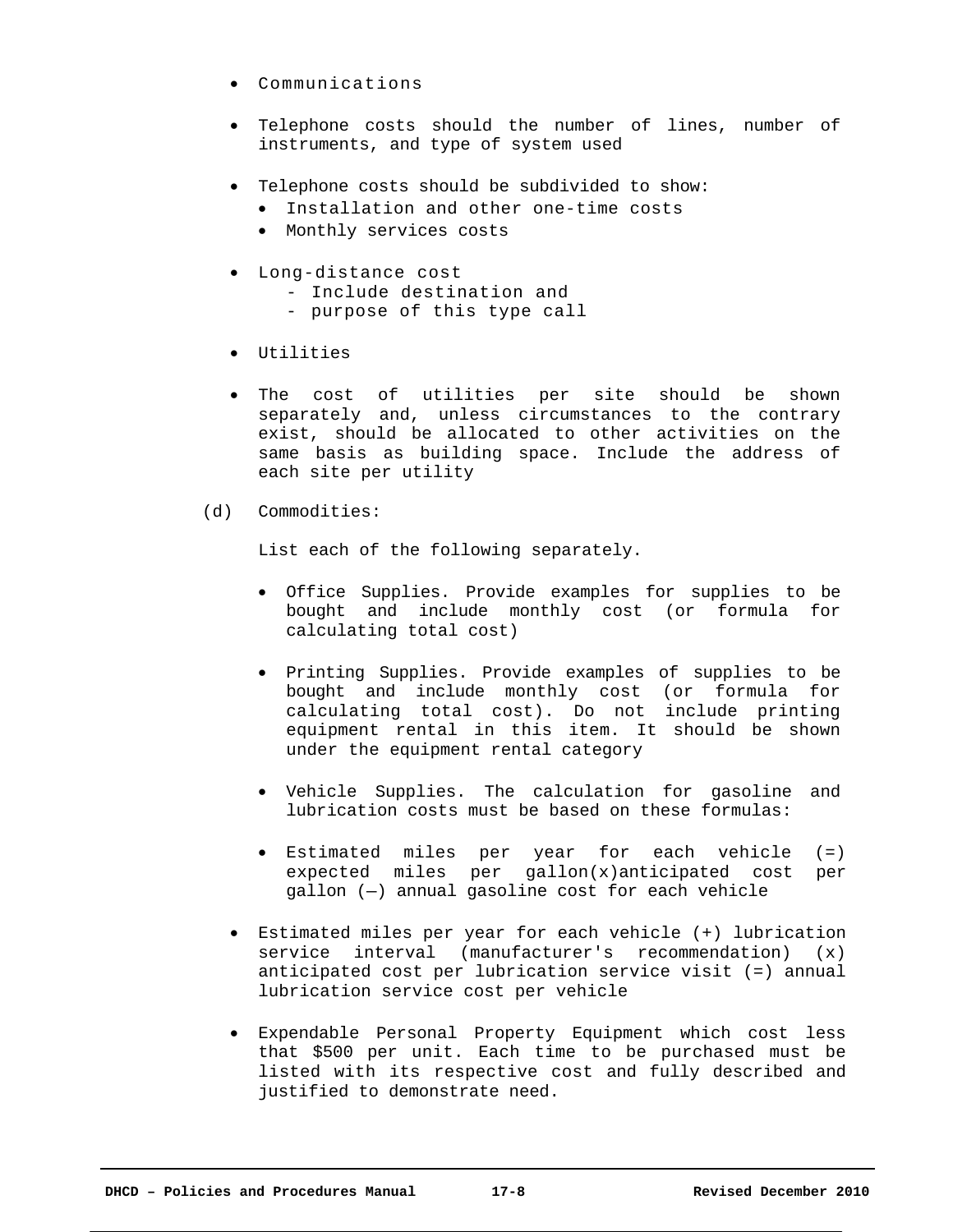- Communications
- Telephone costs should the number of lines, number of instruments, and type of system used
- Telephone costs should be subdivided to show:
	- Installation and other one-time costs
	- Monthly services costs
- Long-distance cost
	- Include destination and
	- purpose of this type call
- Utilities
- The cost of utilities per site should be shown separately and, unless circumstances to the contrary exist, should be allocated to other activities on the same basis as building space. Include the address of each site per utility
- (d) Commodities:

List each of the following separately.

- Office Supplies. Provide examples for supplies to be bought and include monthly cost (or formula for calculating total cost)
- Printing Supplies. Provide examples of supplies to be bought and include monthly cost (or formula for calculating total cost). Do not include printing equipment rental in this item. It should be shown under the equipment rental category
- Vehicle Supplies. The calculation for gasoline and lubrication costs must be based on these formulas:
- Estimated miles per year for each vehicle (=) expected miles per gallon(x)anticipated cost per gallon (—) annual gasoline cost for each vehicle
- Estimated miles per year for each vehicle (+) lubrication service interval (manufacturer's recommendation) (x) anticipated cost per lubrication service visit (=) annual lubrication service cost per vehicle
- Expendable Personal Property Equipment which cost less that \$500 per unit. Each time to be purchased must be listed with its respective cost and fully described and justified to demonstrate need.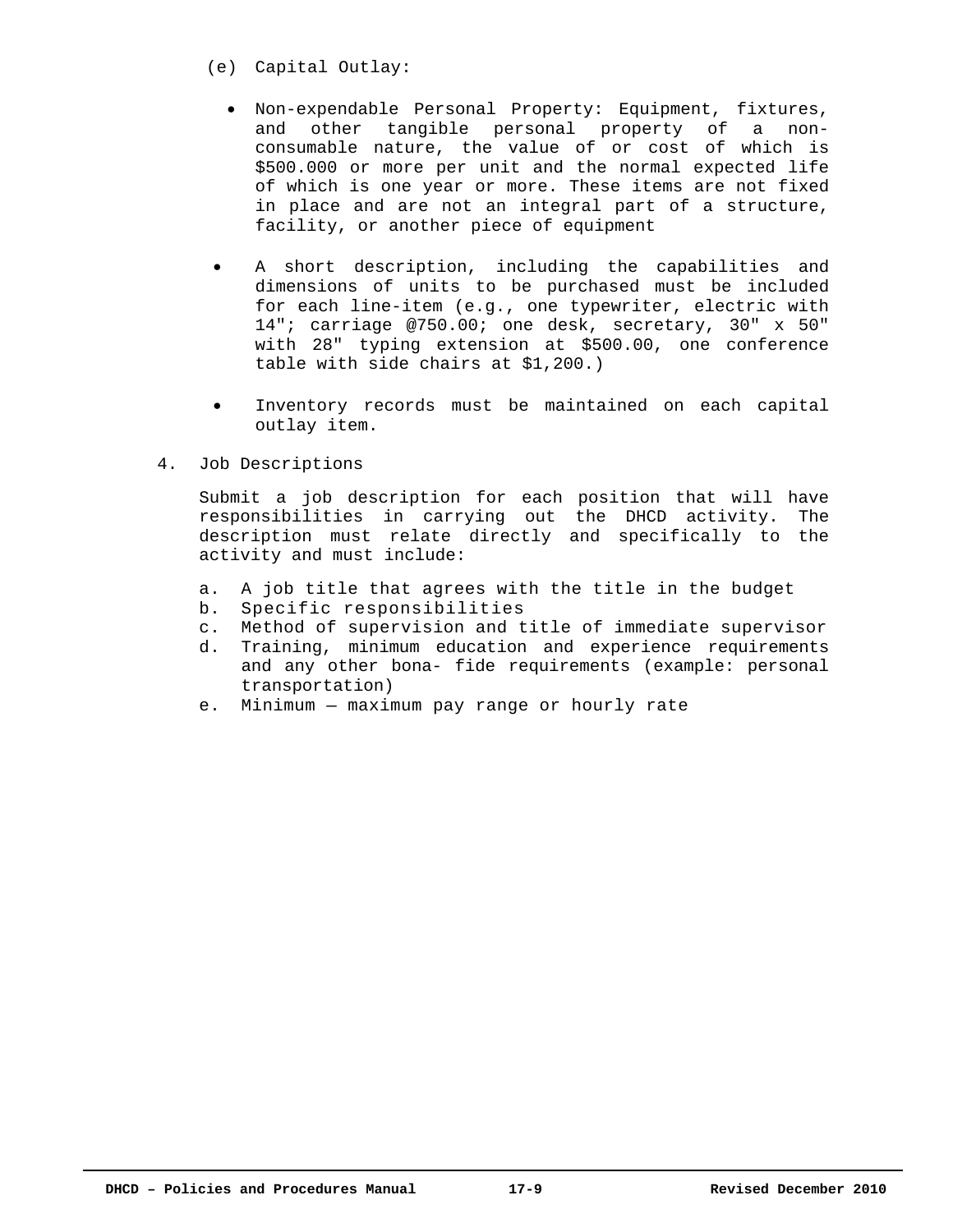- (e) Capital Outlay:
	- Non-expendable Personal Property: Equipment, fixtures, and other tangible personal property of a nonconsumable nature, the value of or cost of which is \$500.000 or more per unit and the normal expected life of which is one year or more. These items are not fixed in place and are not an integral part of a structure, facility, or another piece of equipment
- A short description, including the capabilities and dimensions of units to be purchased must be included for each line-item (e.g., one typewriter, electric with 14"; carriage @750.00; one desk, secretary, 30" x 50" with 28" typing extension at \$500.00, one conference table with side chairs at \$1,200.)
- Inventory records must be maintained on each capital outlay item.
- 4. Job Descriptions

Submit a job description for each position that will have responsibilities in carrying out the DHCD activity. The description must relate directly and specifically to the activity and must include:

- a. A job title that agrees with the title in the budget
- b. Specific responsibilities
- c. Method of supervision and title of immediate supervisor
- d. Training, minimum education and experience requirements and any other bona- fide requirements (example: personal transportation)
- e. Minimum maximum pay range or hourly rate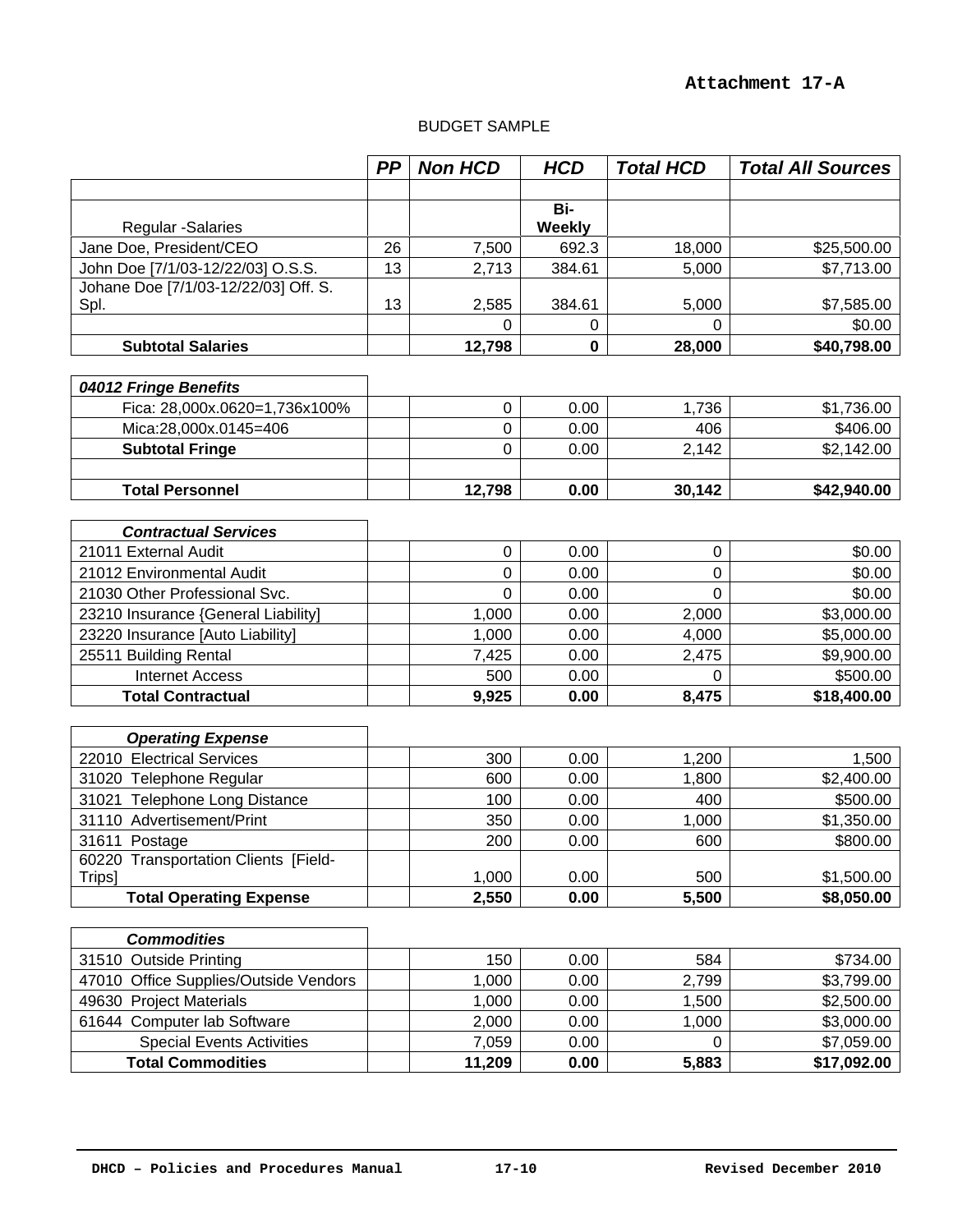# BUDGET SAMPLE

|                                                | PP | <b>Non HCD</b> | <b>HCD</b>           | <b>Total HCD</b> | <b>Total All Sources</b> |
|------------------------------------------------|----|----------------|----------------------|------------------|--------------------------|
|                                                |    |                |                      |                  |                          |
| <b>Regular -Salaries</b>                       |    |                | Bi-<br><b>Weekly</b> |                  |                          |
| Jane Doe, President/CEO                        | 26 | 7,500          | 692.3                | 18,000           | \$25,500.00              |
| John Doe [7/1/03-12/22/03] O.S.S.              | 13 | 2,713          | 384.61               | 5,000            | \$7,713.00               |
| Johane Doe [7/1/03-12/22/03] Off. S.<br>Spl.   | 13 | 2,585          | 384.61               | 5,000            | \$7,585.00               |
|                                                |    | $\Omega$       | 0                    | 0                | \$0.00                   |
| <b>Subtotal Salaries</b>                       |    | 12,798         | 0                    | 28,000           | \$40,798.00              |
|                                                |    |                |                      |                  |                          |
| 04012 Fringe Benefits                          |    |                |                      |                  |                          |
| Fica: 28,000x.0620=1,736x100%                  |    | $\mathbf 0$    | 0.00                 | 1,736            | \$1,736.00               |
| Mica:28,000x.0145=406                          |    | 0              | 0.00                 | 406              | \$406.00                 |
| <b>Subtotal Fringe</b>                         |    | 0              | 0.00                 | 2,142            | \$2,142.00               |
| <b>Total Personnel</b>                         |    | 12,798         | 0.00                 | 30,142           | \$42,940.00              |
|                                                |    |                |                      |                  |                          |
| <b>Contractual Services</b>                    |    |                |                      |                  |                          |
| 21011 External Audit                           |    | $\mathbf 0$    | 0.00                 | 0                | \$0.00                   |
| 21012 Environmental Audit                      |    | 0              | 0.00                 | 0                | \$0.00                   |
| 21030 Other Professional Svc.                  |    | 0              | 0.00                 | 0                | \$0.00                   |
| 23210 Insurance {General Liability]            |    | 1,000          | 0.00                 | 2,000            | \$3,000.00               |
| 23220 Insurance [Auto Liability]               |    | 1,000          | 0.00                 | 4,000            | \$5,000.00               |
| 25511 Building Rental                          |    | 7,425          | 0.00                 | 2,475            | \$9,900.00               |
| <b>Internet Access</b>                         |    | 500            | 0.00                 | 0                | \$500.00                 |
| <b>Total Contractual</b>                       |    | 9,925          | 0.00                 | 8,475            | \$18,400.00              |
|                                                |    |                |                      |                  |                          |
| <b>Operating Expense</b>                       |    |                |                      |                  |                          |
| 22010 Electrical Services                      |    | 300            | 0.00                 | 1,200            | 1,500                    |
| 31020 Telephone Regular                        |    | 600            | 0.00                 | 1,800            | \$2,400.00               |
| 31021 Telephone Long Distance                  |    | 100            | 0.00                 | 400              | \$500.00                 |
| 31110 Advertisement/Print                      |    | 350            | 0.00                 | 1,000            | \$1,350.00               |
| 31611 Postage                                  |    | 200            | 0.00                 | 600              | \$800.00                 |
| 60220 Transportation Clients [Field-<br>Trips] |    | 1,000          | 0.00                 | 500              | \$1,500.00               |
| <b>Total Operating Expense</b>                 |    | 2,550          | 0.00                 | 5,500            | \$8,050.00               |
|                                                |    |                |                      |                  |                          |
| <b>Commodities</b>                             |    |                |                      |                  |                          |
| 31510 Outside Printing                         |    | 150            | 0.00                 | 584              | \$734.00                 |
| 47010 Office Supplies/Outside Vendors          |    | 1,000          | 0.00                 | 2,799            | \$3,799.00               |
| 49630 Project Materials                        |    | 1,000          | 0.00                 | 1,500            | \$2,500.00               |
| 61644 Computer lab Software                    |    | 2,000          | 0.00                 | 1,000            | \$3,000.00               |
| <b>Special Events Activities</b>               |    | 7,059          | 0.00                 | 0                | \$7,059.00               |
| <b>Total Commodities</b>                       |    | 11,209         | 0.00                 | 5,883            | \$17,092.00              |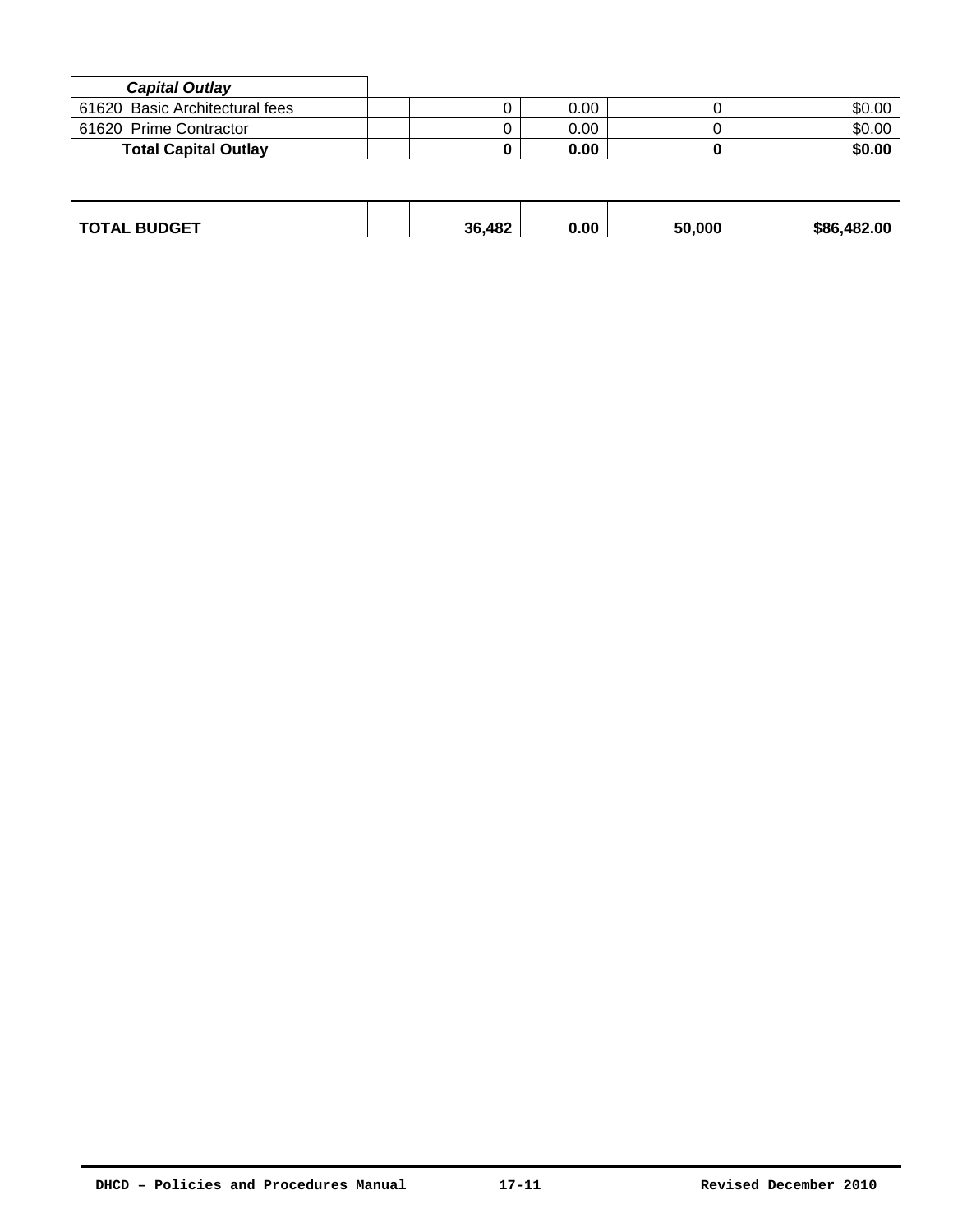| <b>Capital Outlay</b>          |      |        |
|--------------------------------|------|--------|
| 61620 Basic Architectural fees | 0.00 | \$0.00 |
| 61620 Prime Contractor         | 0.00 | \$0.00 |
| <b>Total Capital Outlay</b>    | 0.00 | \$0.00 |

| <b>BUDGET</b><br>ำ∆<br>ль | .482<br>36. | 0.00 | ED DOD | AB'<br>\$86<br>$\cdot$ 00 |
|---------------------------|-------------|------|--------|---------------------------|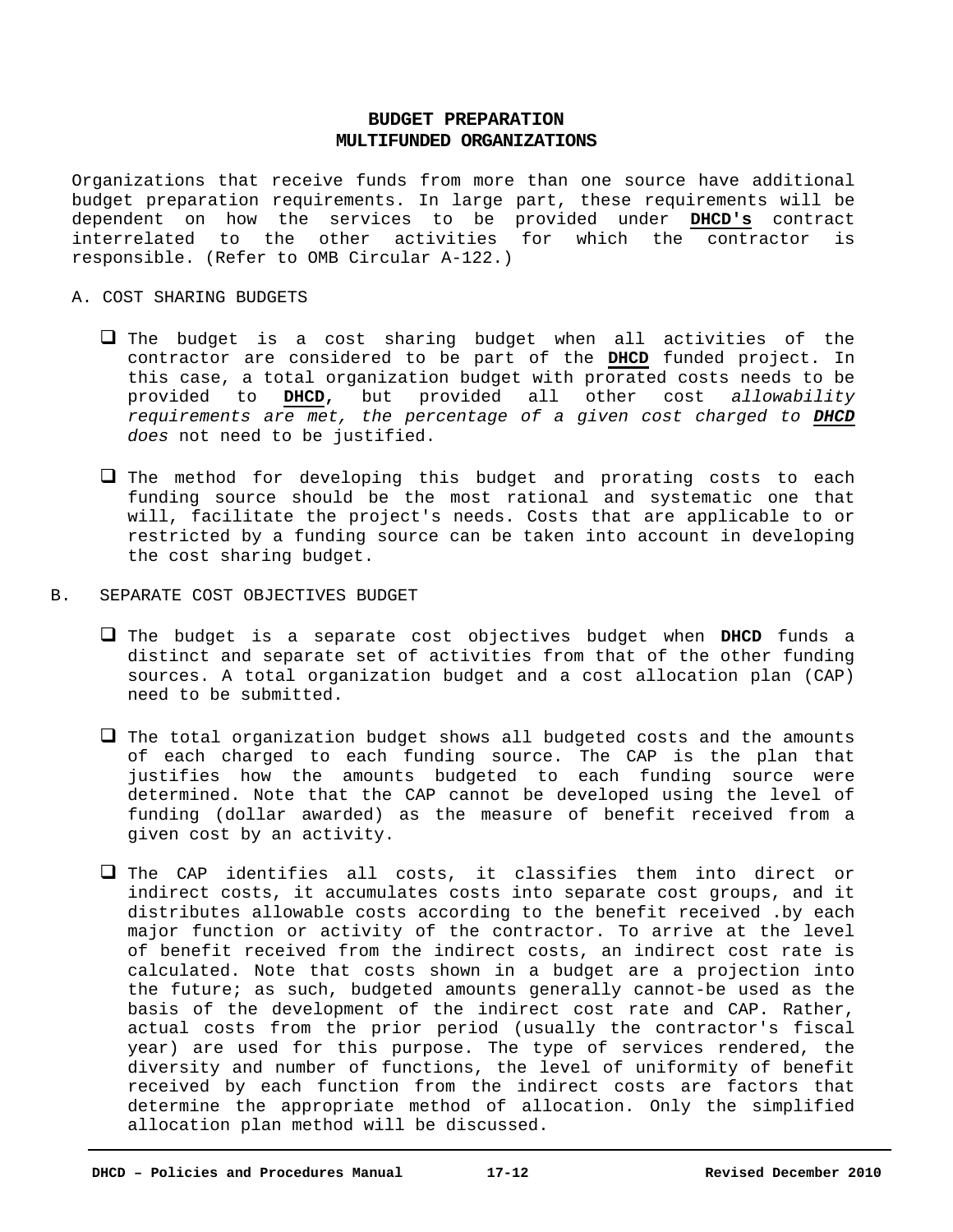# **BUDGET PREPARATION MULTIFUNDED ORGANIZATIONS**

Organizations that receive funds from more than one source have additional budget preparation requirements. In large part, these requirements will be dependent on how the services to be provided under **DHCD's** contract interrelated to the other activities for which the contractor is responsible. (Refer to OMB Circular A-122.)

#### A. COST SHARING BUDGETS

- $\Box$  The budget is a cost sharing budget when all activities of the contractor are considered to be part of the **DHCD** funded project. In this case, a total organization budget with prorated costs needs to be provided to **DHCD,** but provided all other cost *allowability requirements are met, the percentage of a given cost charged to DHCD does* not need to be justified.
- $\Box$  The method for developing this budget and prorating costs to each funding source should be the most rational and systematic one that will, facilitate the project's needs. Costs that are applicable to or restricted by a funding source can be taken into account in developing the cost sharing budget.
- B. SEPARATE COST OBJECTIVES BUDGET
	- The budget is a separate cost objectives budget when **DHCD** funds a distinct and separate set of activities from that of the other funding sources. A total organization budget and a cost allocation plan (CAP) need to be submitted.
	- $\Box$  The total organization budget shows all budgeted costs and the amounts of each charged to each funding source. The CAP is the plan that justifies how the amounts budgeted to each funding source were determined. Note that the CAP cannot be developed using the level of funding (dollar awarded) as the measure of benefit received from a given cost by an activity.
	- $\Box$  The CAP identifies all costs, it classifies them into direct or indirect costs, it accumulates costs into separate cost groups, and it distributes allowable costs according to the benefit received .by each major function or activity of the contractor. To arrive at the level of benefit received from the indirect costs, an indirect cost rate is calculated. Note that costs shown in a budget are a projection into the future; as such, budgeted amounts generally cannot-be used as the basis of the development of the indirect cost rate and CAP. Rather, actual costs from the prior period (usually the contractor's fiscal year) are used for this purpose. The type of services rendered, the diversity and number of functions, the level of uniformity of benefit received by each function from the indirect costs are factors that determine the appropriate method of allocation. Only the simplified allocation plan method will be discussed.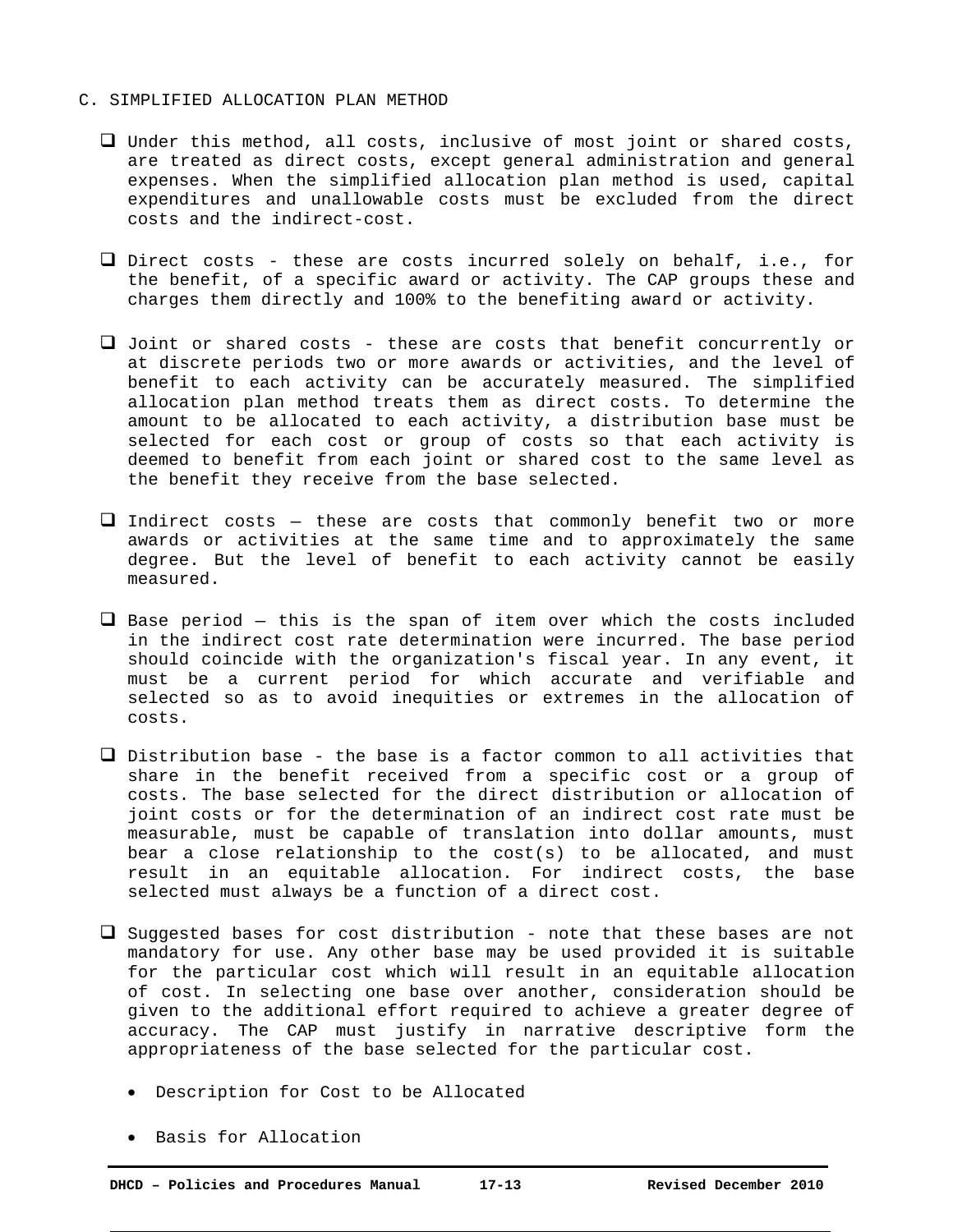#### C. SIMPLIFIED ALLOCATION PLAN METHOD

- Under this method, all costs, inclusive of most joint or shared costs, are treated as direct costs, except general administration and general expenses. When the simplified allocation plan method is used, capital expenditures and unallowable costs must be excluded from the direct costs and the indirect-cost.
- Direct costs these are costs incurred solely on behalf, i.e., for the benefit, of a specific award or activity. The CAP groups these and charges them directly and 100% to the benefiting award or activity.
- Joint or shared costs these are costs that benefit concurrently or at discrete periods two or more awards or activities, and the level of benefit to each activity can be accurately measured. The simplified allocation plan method treats them as direct costs. To determine the amount to be allocated to each activity, a distribution base must be selected for each cost or group of costs so that each activity is deemed to benefit from each joint or shared cost to the same level as the benefit they receive from the base selected.
- $\Box$  Indirect costs these are costs that commonly benefit two or more awards or activities at the same time and to approximately the same degree. But the level of benefit to each activity cannot be easily measured.
- $\Box$  Base period this is the span of item over which the costs included in the indirect cost rate determination were incurred. The base period should coincide with the organization's fiscal year. In any event, it must be a current period for which accurate and verifiable and selected so as to avoid inequities or extremes in the allocation of costs.
- $\Box$  Distribution base the base is a factor common to all activities that share in the benefit received from a specific cost or a group of costs. The base selected for the direct distribution or allocation of joint costs or for the determination of an indirect cost rate must be measurable, must be capable of translation into dollar amounts, must bear a close relationship to the cost(s) to be allocated, and must result in an equitable allocation. For indirect costs, the base selected must always be a function of a direct cost.
- $\square$  Suggested bases for cost distribution note that these bases are not mandatory for use. Any other base may be used provided it is suitable for the particular cost which will result in an equitable allocation of cost. In selecting one base over another, consideration should be given to the additional effort required to achieve a greater degree of accuracy. The CAP must justify in narrative descriptive form the appropriateness of the base selected for the particular cost.
	- Description for Cost to be Allocated
	- Basis for Allocation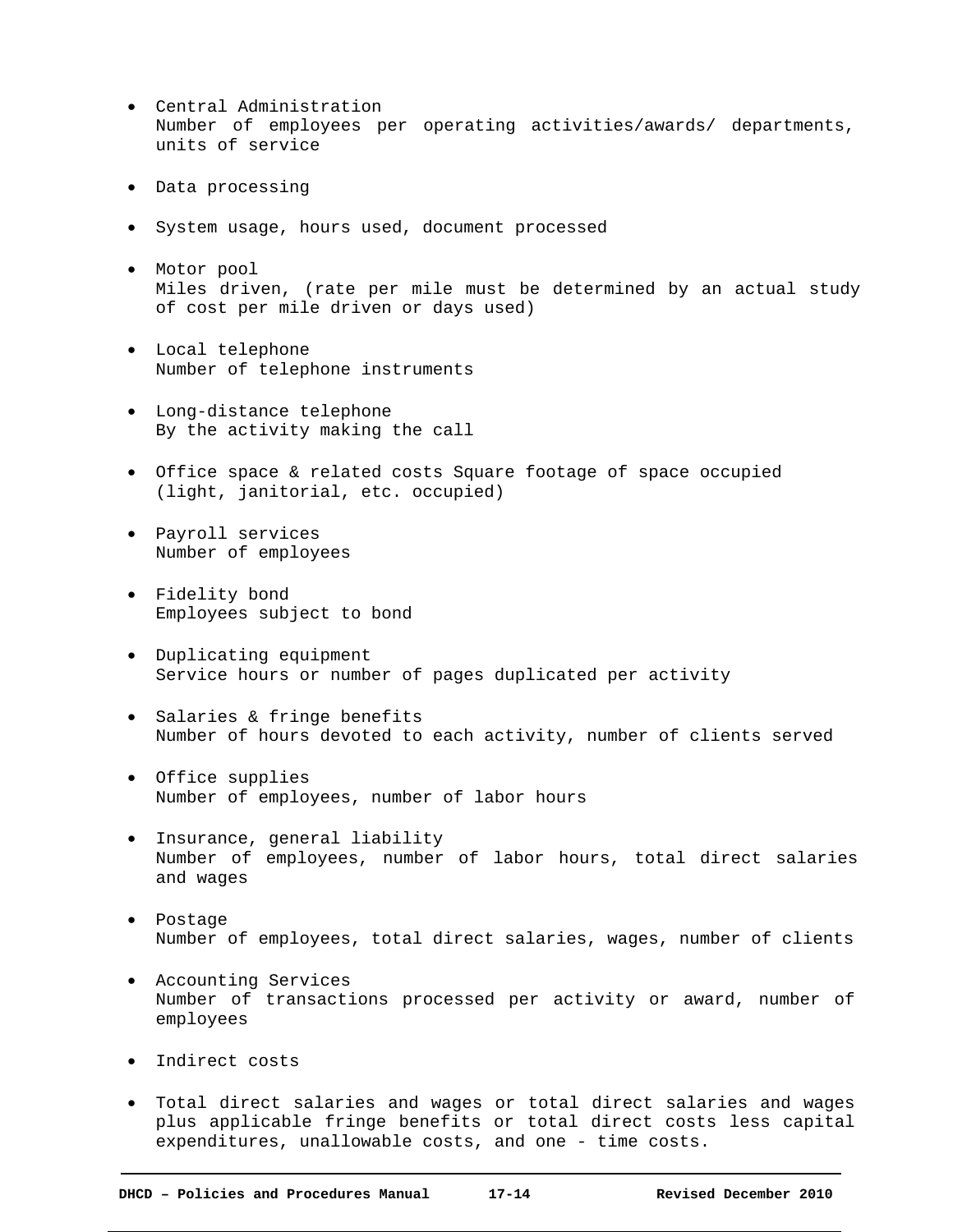- Central Administration Number of employees per operating activities/awards/ departments, units of service
- Data processing
- System usage, hours used, document processed
- Motor pool Miles driven, (rate per mile must be determined by an actual study of cost per mile driven or days used)
- Local telephone Number of telephone instruments
- Long-distance telephone By the activity making the call
- Office space & related costs Square footage of space occupied (light, janitorial, etc. occupied)
- Payroll services Number of employees
- Fidelity bond Employees subject to bond
- Duplicating equipment Service hours or number of pages duplicated per activity
- Salaries & fringe benefits Number of hours devoted to each activity, number of clients served
- Office supplies Number of employees, number of labor hours
- Insurance, general liability Number of employees, number of labor hours, total direct salaries and wages
- Postage Number of employees, total direct salaries, wages, number of clients
- Accounting Services Number of transactions processed per activity or award, number of employees
- Indirect costs
- Total direct salaries and wages or total direct salaries and wages plus applicable fringe benefits or total direct costs less capital expenditures, unallowable costs, and one - time costs.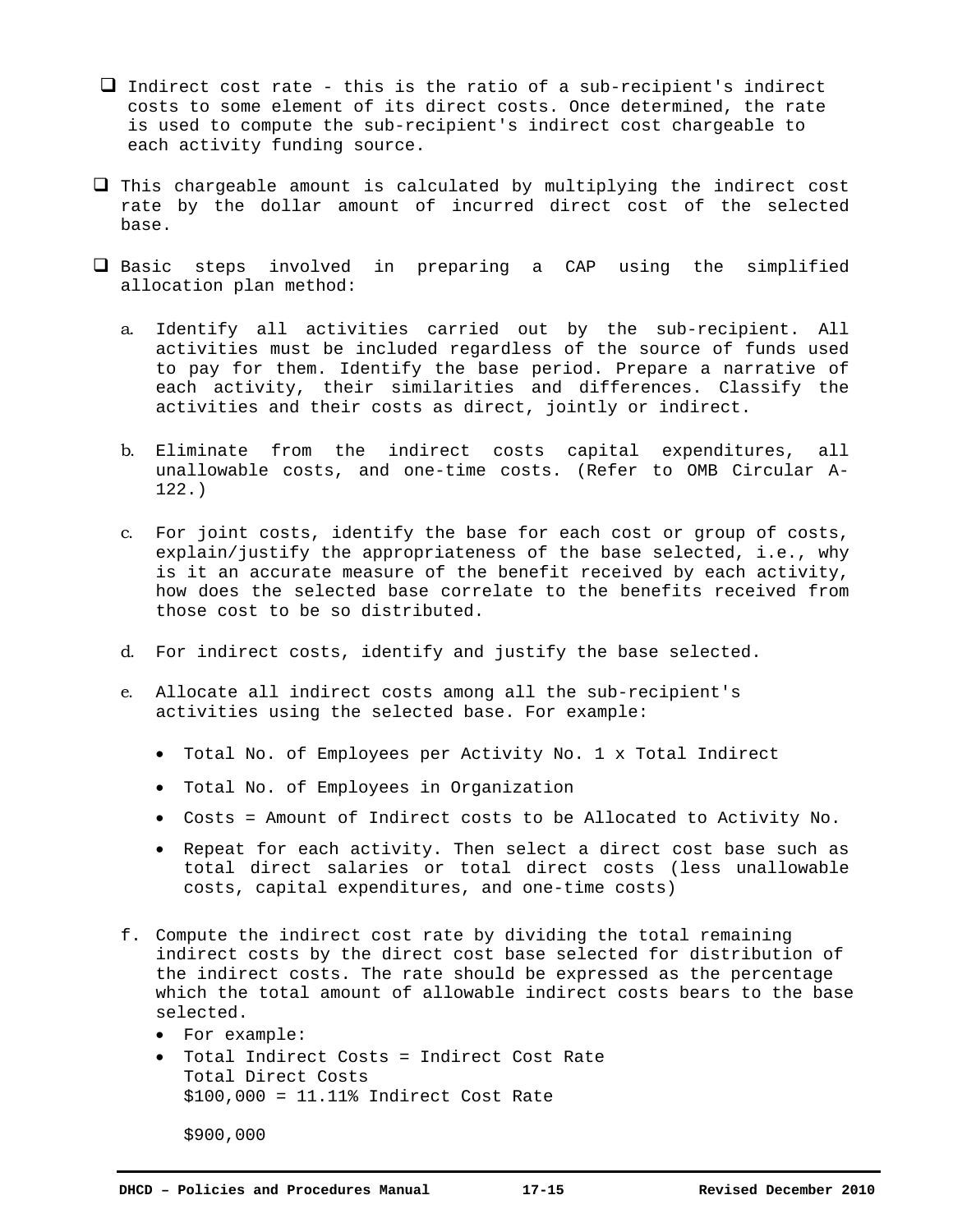- $\Box$  Indirect cost rate this is the ratio of a sub-recipient's indirect costs to some element of its direct costs. Once determined, the rate is used to compute the sub-recipient's indirect cost chargeable to each activity funding source.
- $\Box$  This chargeable amount is calculated by multiplying the indirect cost rate by the dollar amount of incurred direct cost of the selected base.
- $\Box$  Basic steps involved in preparing a CAP using the simplified allocation plan method:
	- a. Identify all activities carried out by the sub-recipient. All activities must be included regardless of the source of funds used to pay for them. Identify the base period. Prepare a narrative of each activity, their similarities and differences. Classify the activities and their costs as direct, jointly or indirect.
	- b. Eliminate from the indirect costs capital expenditures, all unallowable costs, and one-time costs. (Refer to OMB Circular A-122.)
	- c. For joint costs, identify the base for each cost or group of costs, explain/justify the appropriateness of the base selected, i.e., why is it an accurate measure of the benefit received by each activity, how does the selected base correlate to the benefits received from those cost to be so distributed.
	- d. For indirect costs, identify and justify the base selected.
	- e. Allocate all indirect costs among all the sub-recipient's activities using the selected base. For example:
		- Total No. of Employees per Activity No. 1 x Total Indirect
		- Total No. of Employees in Organization
		- Costs = Amount of Indirect costs to be Allocated to Activity No.
		- Repeat for each activity. Then select a direct cost base such as total direct salaries or total direct costs (less unallowable costs, capital expenditures, and one-time costs)
	- f. Compute the indirect cost rate by dividing the total remaining indirect costs by the direct cost base selected for distribution of the indirect costs. The rate should be expressed as the percentage which the total amount of allowable indirect costs bears to the base selected.
		- For example:
		- Total Indirect Costs = Indirect Cost Rate Total Direct Costs \$100,000 = 11.11% Indirect Cost Rate

\$900,000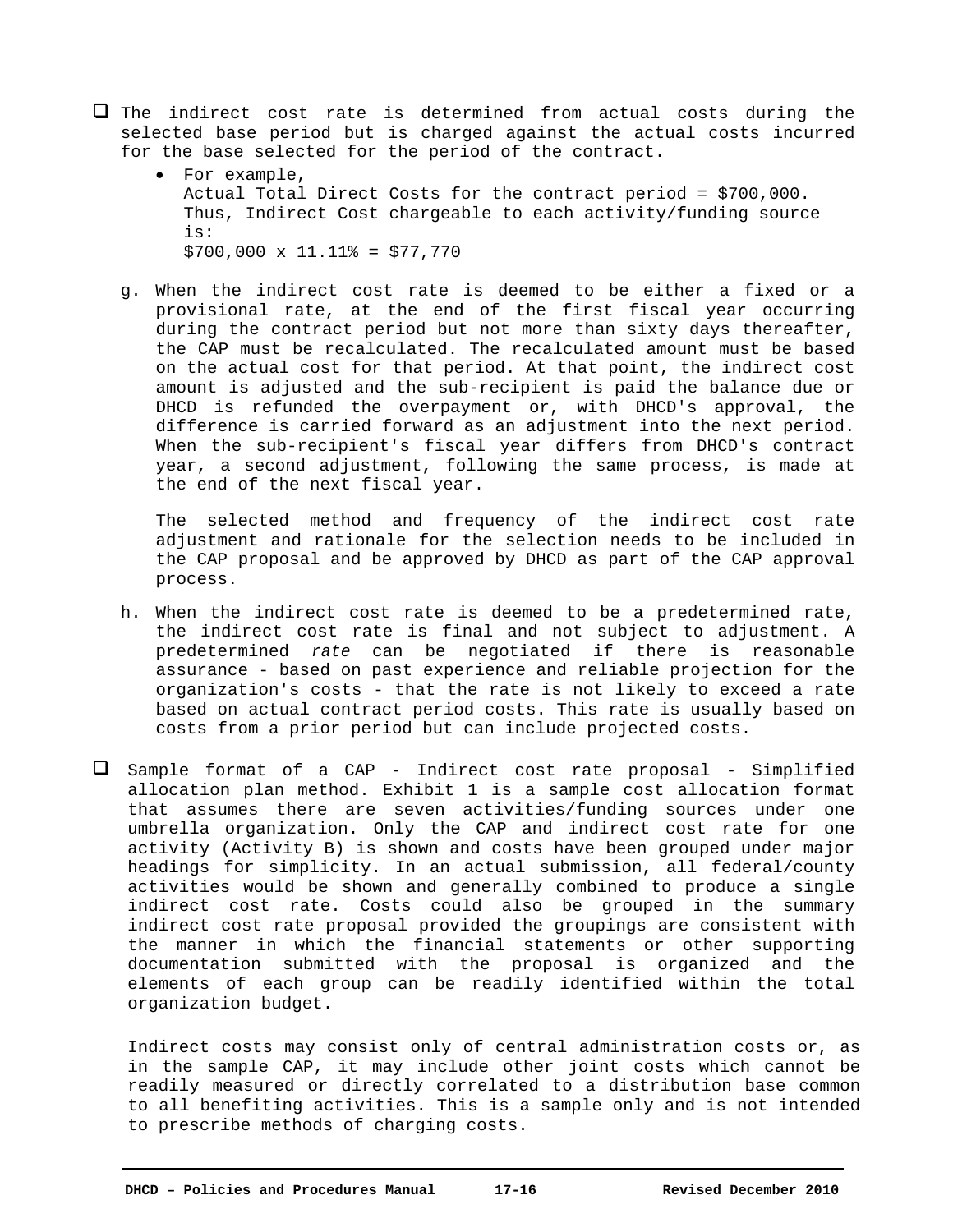- $\Box$  The indirect cost rate is determined from actual costs during the selected base period but is charged against the actual costs incurred for the base selected for the period of the contract.
	- For example, Actual Total Direct Costs for the contract period = \$700,000. Thus, Indirect Cost chargeable to each activity/funding source is:  $$700,000 \times 11.11$  = \$77,770
	- g. When the indirect cost rate is deemed to be either a fixed or a provisional rate, at the end of the first fiscal year occurring during the contract period but not more than sixty days thereafter, the CAP must be recalculated. The recalculated amount must be based on the actual cost for that period. At that point, the indirect cost amount is adjusted and the sub-recipient is paid the balance due or DHCD is refunded the overpayment or, with DHCD's approval, the difference is carried forward as an adjustment into the next period. When the sub-recipient's fiscal year differs from DHCD's contract year, a second adjustment, following the same process, is made at the end of the next fiscal year.

 The selected method and frequency of the indirect cost rate adjustment and rationale for the selection needs to be included in the CAP proposal and be approved by DHCD as part of the CAP approval process.

- h. When the indirect cost rate is deemed to be a predetermined rate, the indirect cost rate is final and not subject to adjustment. A predetermined *rate* can be negotiated if there is reasonable assurance - based on past experience and reliable projection for the organization's costs - that the rate is not likely to exceed a rate based on actual contract period costs. This rate is usually based on costs from a prior period but can include projected costs.
- Sample format of a CAP Indirect cost rate proposal Simplified allocation plan method. Exhibit 1 is a sample cost allocation format that assumes there are seven activities/funding sources under one umbrella organization. Only the CAP and indirect cost rate for one activity (Activity B) is shown and costs have been grouped under major headings for simplicity. In an actual submission, all federal/county activities would be shown and generally combined to produce a single indirect cost rate. Costs could also be grouped in the summary indirect cost rate proposal provided the groupings are consistent with the manner in which the financial statements or other supporting documentation submitted with the proposal is organized and the elements of each group can be readily identified within the total organization budget.

Indirect costs may consist only of central administration costs or, as in the sample CAP, it may include other joint costs which cannot be readily measured or directly correlated to a distribution base common to all benefiting activities. This is a sample only and is not intended to prescribe methods of charging costs.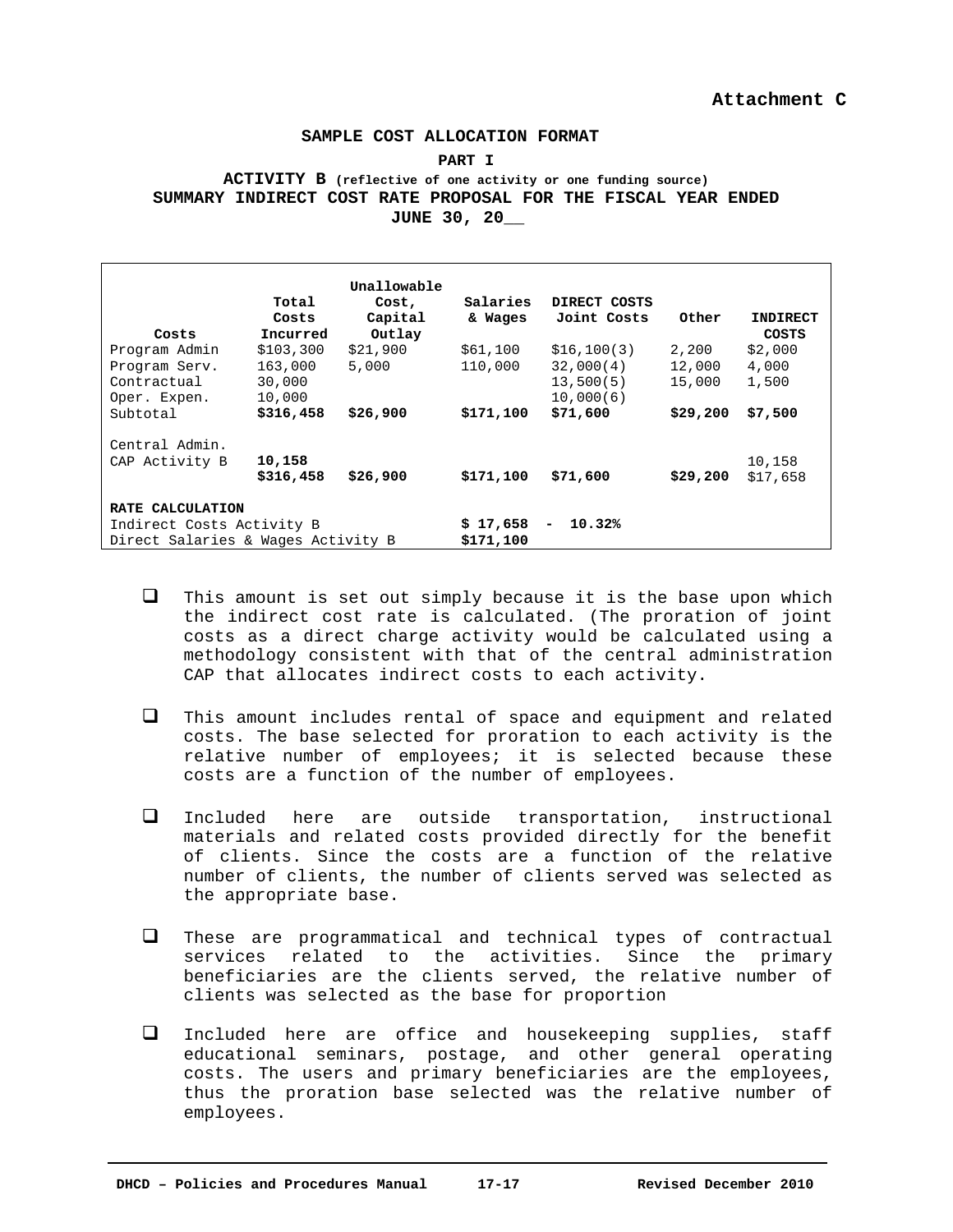#### **SAMPLE COST ALLOCATION FORMAT**

#### **PART I**

## **ACTIVITY B (reflective of one activity or one funding source) SUMMARY INDIRECT COST RATE PROPOSAL FOR THE FISCAL YEAR ENDED JUNE 30, 20\_\_**

| Costs                                                           | Total<br>Costs<br>Incurred | Unallowable<br>Cost,<br>Capital<br>Outlay | Salaries<br>& Wages                | DIRECT COSTS<br>Joint Costs | Other    | <b>INDIRECT</b><br>COSTS |
|-----------------------------------------------------------------|----------------------------|-------------------------------------------|------------------------------------|-----------------------------|----------|--------------------------|
| Program Admin                                                   | \$103,300                  | \$21,900                                  | \$61,100                           | \$16,100(3)                 | 2,200    | \$2,000                  |
| Program Serv.                                                   | 163,000                    | 5,000                                     | 110,000                            | 32,000(4)                   | 12,000   | 4,000                    |
| Contractual                                                     | 30,000                     |                                           |                                    | 13,500(5)                   | 15,000   | 1,500                    |
| Oper. Expen.                                                    | 10,000                     |                                           |                                    | 10,000(6)                   |          |                          |
| Subtotal                                                        | \$316,458                  | \$26,900                                  | \$171,100                          | \$71,600                    | \$29,200 | \$7,500                  |
| Central Admin.<br>CAP Activity B                                | 10,158<br>\$316,458        | \$26,900                                  | \$171,100                          | \$71,600                    | \$29,200 | 10,158<br>\$17,658       |
| RATE CALCULATION                                                |                            |                                           |                                    |                             |          |                          |
| Indirect Costs Activity B<br>Direct Salaries & Wages Activity B |                            | \$17,658<br>\$171,100                     | 10.32%<br>$\overline{\phantom{a}}$ |                             |          |                          |

- $\Box$  This amount is set out simply because it is the base upon which the indirect cost rate is calculated. (The proration of joint costs as a direct charge activity would be calculated using a methodology consistent with that of the central administration CAP that allocates indirect costs to each activity.
- $\Box$  This amount includes rental of space and equipment and related costs. The base selected for proration to each activity is the relative number of employees; it is selected because these costs are a function of the number of employees.
- Included here are outside transportation, instructional materials and related costs provided directly for the benefit of clients. Since the costs are a function of the relative number of clients, the number of clients served was selected as the appropriate base.
- These are programmatical and technical types of contractual services related to the activities. Since the primary beneficiaries are the clients served, the relative number of clients was selected as the base for proportion
- Included here are office and housekeeping supplies, staff educational seminars, postage, and other general operating costs. The users and primary beneficiaries are the employees, thus the proration base selected was the relative number of employees.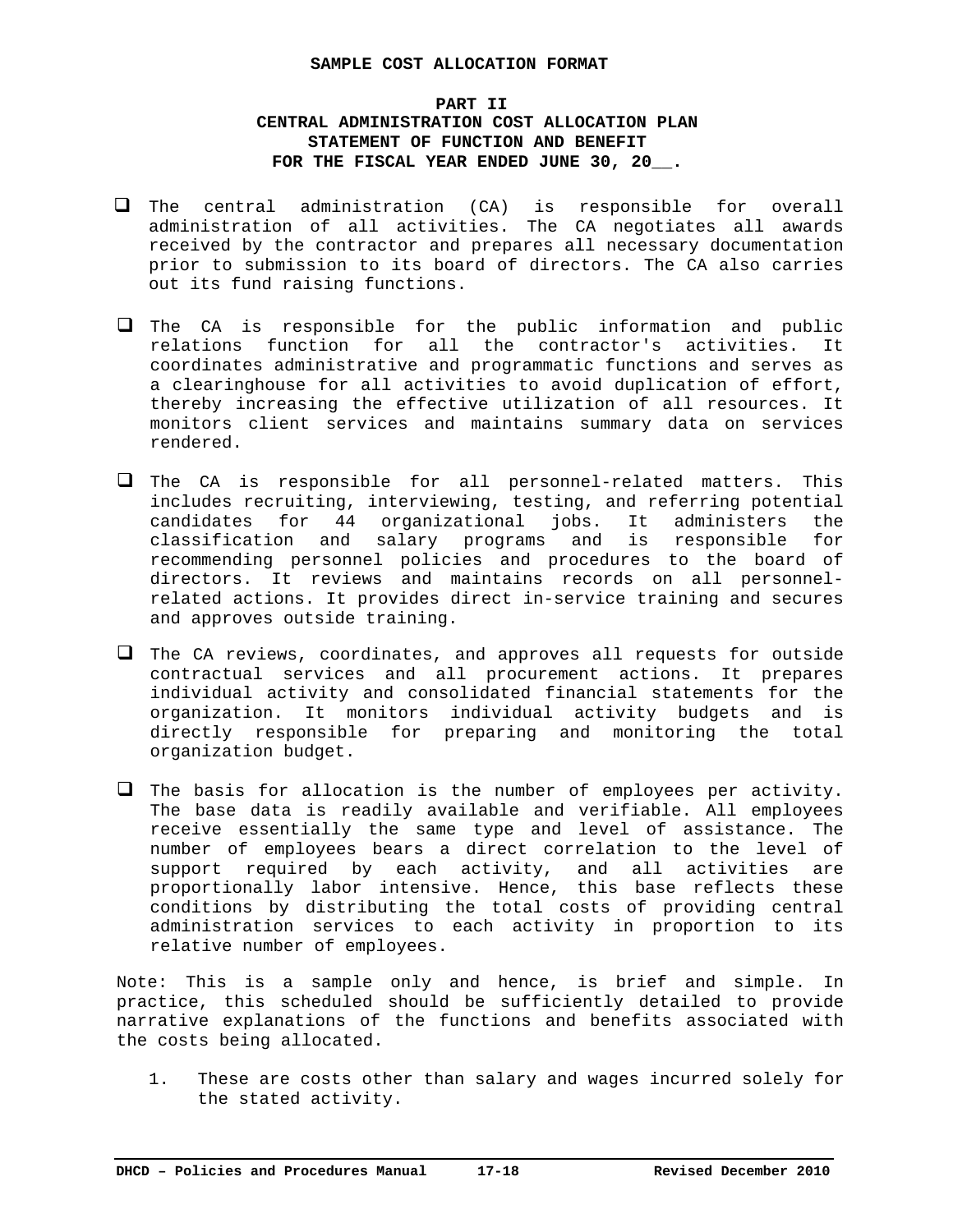### **SAMPLE COST ALLOCATION FORMAT**

# **PART II CENTRAL ADMINISTRATION COST ALLOCATION PLAN STATEMENT OF FUNCTION AND BENEFIT FOR THE FISCAL YEAR ENDED JUNE 30, 20\_\_.**

- $\Box$  The central administration (CA) is responsible for overall administration of all activities. The CA negotiates all awards received by the contractor and prepares all necessary documentation prior to submission to its board of directors. The CA also carries out its fund raising functions.
- $\Box$  The CA is responsible for the public information and public relations function for all the contractor's activities. It coordinates administrative and programmatic functions and serves as a clearinghouse for all activities to avoid duplication of effort, thereby increasing the effective utilization of all resources. It monitors client services and maintains summary data on services rendered.
- $\Box$  The CA is responsible for all personnel-related matters. This includes recruiting, interviewing, testing, and referring potential candidates for 44 organizational jobs. It administers the classification and salary programs and is responsible for recommending personnel policies and procedures to the board of directors. It reviews and maintains records on all personnelrelated actions. It provides direct in-service training and secures and approves outside training.
- $\Box$  The CA reviews, coordinates, and approves all requests for outside contractual services and all procurement actions. It prepares individual activity and consolidated financial statements for the organization. It monitors individual activity budgets and is directly responsible for preparing and monitoring the total organization budget.
- $\Box$  The basis for allocation is the number of employees per activity. The base data is readily available and verifiable. All employees receive essentially the same type and level of assistance. The number of employees bears a direct correlation to the level of support required by each activity, and all activities are proportionally labor intensive. Hence, this base reflects these conditions by distributing the total costs of providing central administration services to each activity in proportion to its relative number of employees.

Note: This is a sample only and hence, is brief and simple. In practice, this scheduled should be sufficiently detailed to provide narrative explanations of the functions and benefits associated with the costs being allocated.

1. These are costs other than salary and wages incurred solely for the stated activity.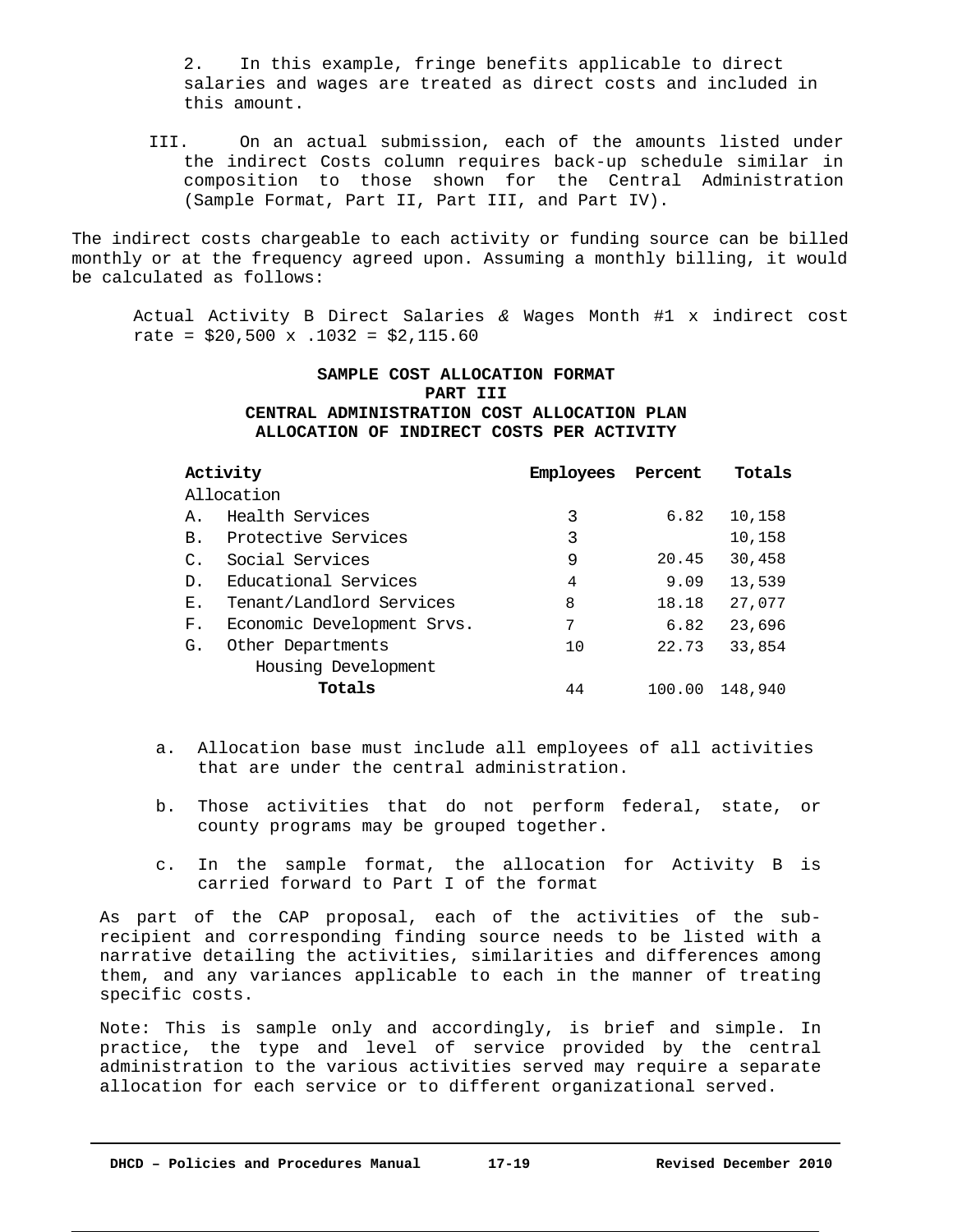2. In this example, fringe benefits applicable to direct salaries and wages are treated as direct costs and included in this amount.

III. On an actual submission, each of the amounts listed under the indirect Costs column requires back-up schedule similar in composition to those shown for the Central Administration (Sample Format, Part II, Part III, and Part IV).

The indirect costs chargeable to each activity or funding source can be billed monthly or at the frequency agreed upon. Assuming a monthly billing, it would be calculated as follows:

Actual Activity B Direct Salaries *&* Wages Month #1 x indirect cost rate =  $$20,500 \times .1032 = $2,115.60$ 

# **SAMPLE COST ALLOCATION FORMAT PART III CENTRAL ADMINISTRATION COST ALLOCATION PLAN ALLOCATION OF INDIRECT COSTS PER ACTIVITY**

|                 | Activity                   | Employees | Percent | Totals  |
|-----------------|----------------------------|-----------|---------|---------|
|                 | Allocation                 |           |         |         |
| Α.              | Health Services            | 3         | 6.82    | 10,158  |
| <b>B.</b>       | Protective Services        | 3         |         | 10,158  |
| $\mathcal{C}$ . | Social Services            | 9         | 20.45   | 30,458  |
| D.              | Educational Services       | 4         | 9.09    | 13,539  |
| Е.              | Tenant/Landlord Services   | 8         | 18.18   | 27,077  |
| F.              | Economic Development Srvs. | 7         | 6.82    | 23,696  |
| G.              | Other Departments          | 10        | 22.73   | 33,854  |
|                 | Housing Development        |           |         |         |
|                 | Totals                     | 44        | 100.00  | 148,940 |

- a. Allocation base must include all employees of all activities that are under the central administration.
- b. Those activities that do not perform federal, state, or county programs may be grouped together.
- c. In the sample format, the allocation for Activity B is carried forward to Part I of the format

As part of the CAP proposal, each of the activities of the subrecipient and corresponding finding source needs to be listed with a narrative detailing the activities, similarities and differences among them, and any variances applicable to each in the manner of treating specific costs.

Note: This is sample only and accordingly, is brief and simple. In practice, the type and level of service provided by the central administration to the various activities served may require a separate allocation for each service or to different organizational served.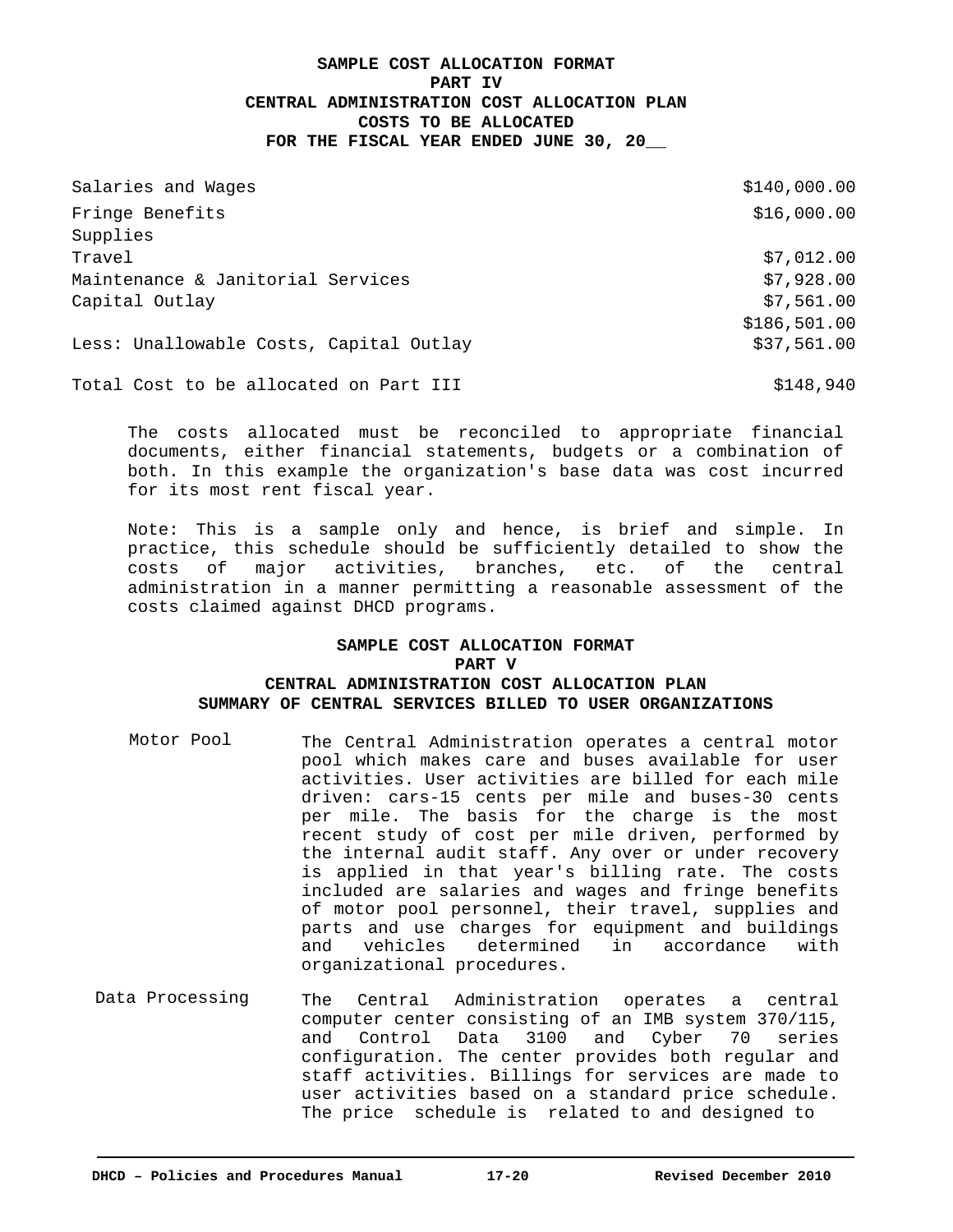# **SAMPLE COST ALLOCATION FORMAT PART IV CENTRAL ADMINISTRATION COST ALLOCATION PLAN COSTS TO BE ALLOCATED FOR THE FISCAL YEAR ENDED JUNE 30, 20\_\_**

| Salaries and Wages                      | \$140,000.00 |
|-----------------------------------------|--------------|
| Fringe Benefits                         | \$16,000.00  |
| Supplies                                |              |
| Travel                                  | \$7,012.00   |
| Maintenance & Janitorial Services       | \$7,928.00   |
| Capital Outlay                          | \$7,561.00   |
|                                         | \$186,501.00 |
| Less: Unallowable Costs, Capital Outlay | \$37,561.00  |
| Total Cost to be allocated on Part III  | \$148,940    |

The costs allocated must be reconciled to appropriate financial documents, either financial statements, budgets or a combination of both. In this example the organization's base data was cost incurred for its most rent fiscal year.

Note: This is a sample only and hence, is brief and simple. In practice, this schedule should be sufficiently detailed to show the costs of major activities, branches, etc. of the central administration in a manner permitting a reasonable assessment of the costs claimed against DHCD programs.

## **SAMPLE COST ALLOCATION FORMAT PART V CENTRAL ADMINISTRATION COST ALLOCATION PLAN SUMMARY OF CENTRAL SERVICES BILLED TO USER ORGANIZATIONS**

- Motor Pool The Central Administration operates a central motor pool which makes care and buses available for user activities. User activities are billed for each mile driven: cars-15 cents per mile and buses-30 cents per mile. The basis for the charge is the most recent study of cost per mile driven, performed by the internal audit staff. Any over or under recovery is applied in that year's billing rate. The costs included are salaries and wages and fringe benefits of motor pool personnel, their travel, supplies and parts and use charges for equipment and buildings and vehicles determined in accordance with organizational procedures.
- The Central Administration operates a central computer center consisting of an IMB system 370/115, and Control Data 3100 and Cyber 70 series configuration. The center provides both regular and staff activities. Billings for services are made to user activities based on a standard price schedule. The price schedule is related to and designed to Data Processing